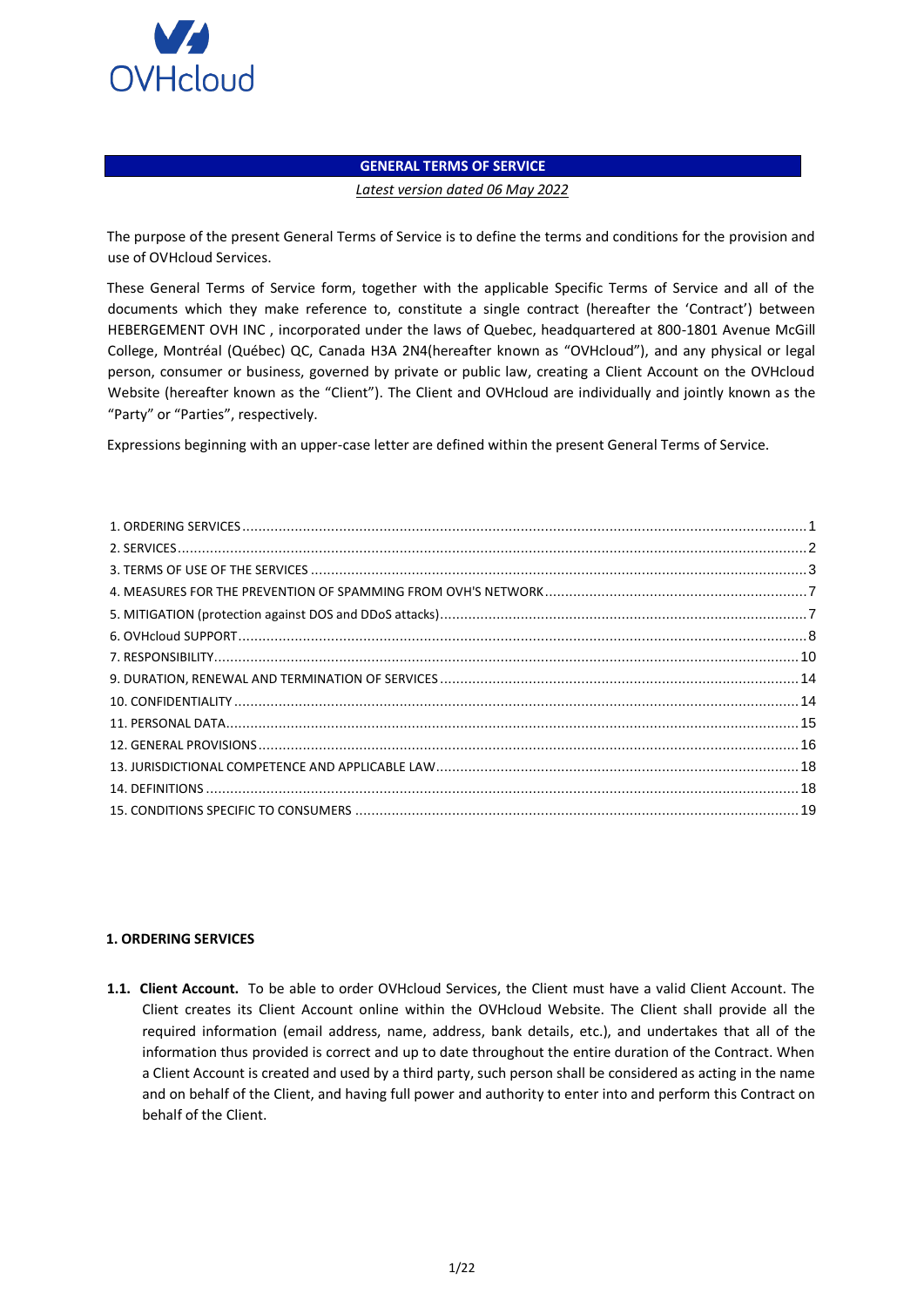

## **GENERAL TERMS OF SERVICE**

#### *Latest version dated 06 May 2022*

The purpose of the present General Terms of Service is to define the terms and conditions for the provision and use of OVHcloud Services.

These General Terms of Service form, together with the applicable Specific Terms of Service and all of the documents which they make reference to, constitute a single contract (hereafter the 'Contract') between HEBERGEMENT OVH INC , incorporated under the laws of Quebec, headquartered at 800-1801 Avenue McGill College, Montréal (Québec) QC, Canada H3A 2N4(hereafter known as "OVHcloud"), and any physical or legal person, consumer or business, governed by private or public law, creating a Client Account on the OVHcloud Website (hereafter known as the "Client"). The Client and OVHcloud are individually and jointly known as the "Party" or "Parties", respectively.

Expressions beginning with an upper-case letter are defined within the present General Terms of Service.

### <span id="page-0-0"></span>**1. ORDERING SERVICES**

**1.1. Client Account.** To be able to order OVHcloud Services, the Client must have a valid Client Account. The Client creates its Client Account online within the OVHcloud Website. The Client shall provide all the required information (email address, name, address, bank details, etc.), and undertakes that all of the information thus provided is correct and up to date throughout the entire duration of the Contract. When a Client Account is created and used by a third party, such person shall be considered as acting in the name and on behalf of the Client, and having full power and authority to enter into and perform this Contract on behalf of the Client.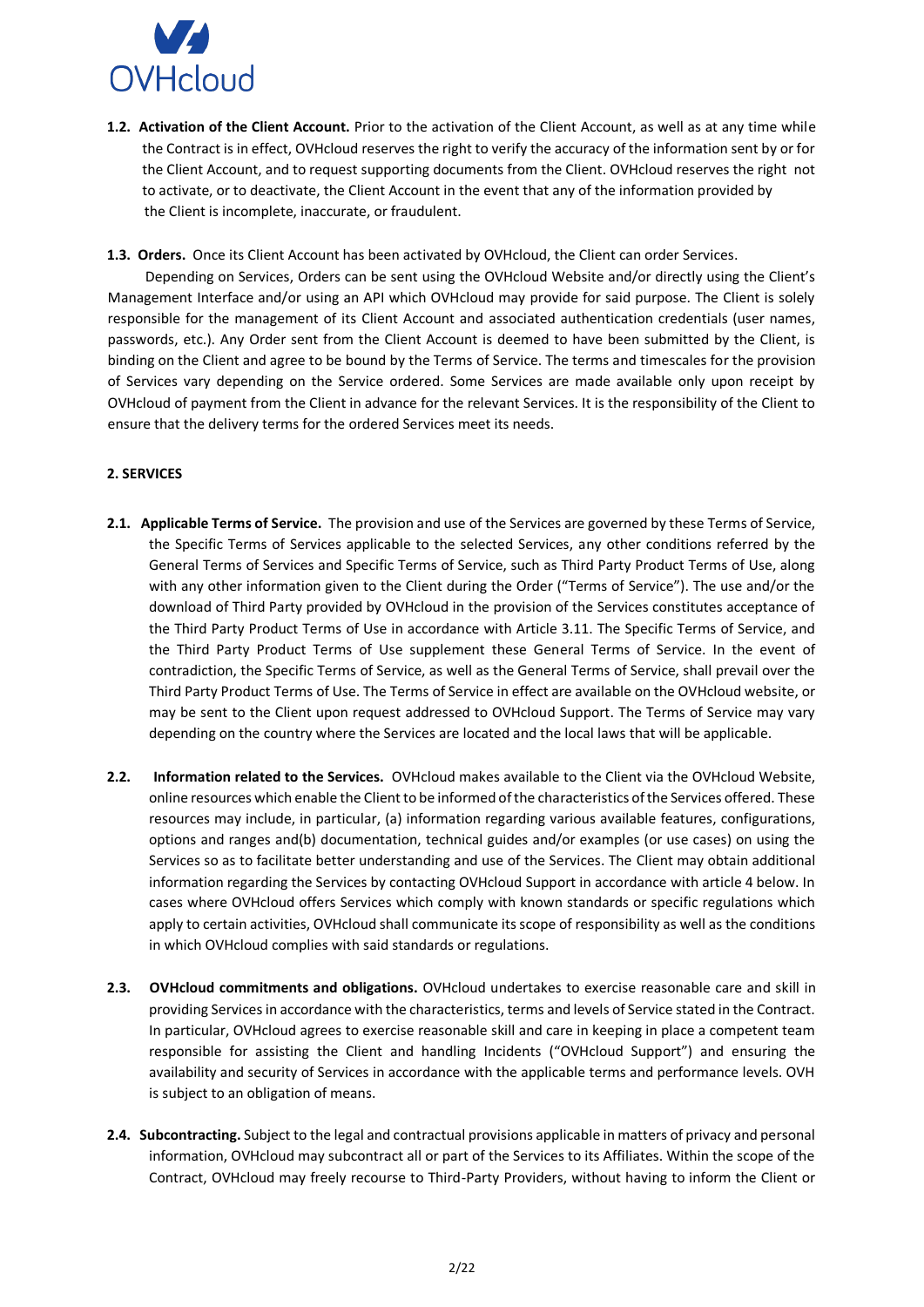

**1.2. Activation of the Client Account.** Prior to the activation of the Client Account, as well as at any time while the Contract is in effect, OVHcloud reserves the right to verify the accuracy of the information sent by or for the Client Account, and to request supporting documents from the Client. OVHcloud reserves the right not to activate, or to deactivate, the Client Account in the event that any of the information provided by the Client is incomplete, inaccurate, or fraudulent.

**1.3. Orders.** Once its Client Account has been activated by OVHcloud, the Client can order Services.

 Depending on Services, Orders can be sent using the OVHcloud Website and/or directly using the Client's Management Interface and/or using an API which OVHcloud may provide for said purpose. The Client is solely responsible for the management of its Client Account and associated authentication credentials (user names, passwords, etc.). Any Order sent from the Client Account is deemed to have been submitted by the Client, is binding on the Client and agree to be bound by the Terms of Service. The terms and timescales for the provision of Services vary depending on the Service ordered. Some Services are made available only upon receipt by OVHcloud of payment from the Client in advance for the relevant Services. It is the responsibility of the Client to ensure that the delivery terms for the ordered Services meet its needs.

# <span id="page-1-0"></span>**2. SERVICES**

- **2.1. Applicable Terms of Service.** The provision and use of the Services are governed by these Terms of Service, the Specific Terms of Services applicable to the selected Services, any other conditions referred by the General Terms of Services and Specific Terms of Service, such as Third Party Product Terms of Use, along with any other information given to the Client during the Order ("Terms of Service"). The use and/or the download of Third Party provided by OVHcloud in the provision of the Services constitutes acceptance of the Third Party Product Terms of Use in accordance with Article 3.11. The Specific Terms of Service, and the Third Party Product Terms of Use supplement these General Terms of Service. In the event of contradiction, the Specific Terms of Service, as well as the General Terms of Service, shall prevail over the Third Party Product Terms of Use. The Terms of Service in effect are available on the OVHcloud website, or may be sent to the Client upon request addressed to OVHcloud Support. The Terms of Service may vary depending on the country where the Services are located and the local laws that will be applicable.
- **2.2. Information related to the Services.** OVHcloud makes available to the Client via the OVHcloud Website, online resources which enable the Client to be informed of the characteristics of the Services offered. These resources may include, in particular, (a) information regarding various available features, configurations, options and ranges and(b) documentation, technical guides and/or examples (or use cases) on using the Services so as to facilitate better understanding and use of the Services. The Client may obtain additional information regarding the Services by contacting OVHcloud Support in accordance with article 4 below. In cases where OVHcloud offers Services which comply with known standards or specific regulations which apply to certain activities, OVHcloud shall communicate its scope of responsibility as well as the conditions in which OVHcloud complies with said standards or regulations.
- **2.3. OVHcloud commitments and obligations.** OVHcloud undertakes to exercise reasonable care and skill in providing Services in accordance with the characteristics, terms and levels of Service stated in the Contract. In particular, OVHcloud agrees to exercise reasonable skill and care in keeping in place a competent team responsible for assisting the Client and handling Incidents ("OVHcloud Support") and ensuring the availability and security of Services in accordance with the applicable terms and performance levels. OVH is subject to an obligation of means.
- **2.4. Subcontracting.** Subject to the legal and contractual provisions applicable in matters of privacy and personal information, OVHcloud may subcontract all or part of the Services to its Affiliates. Within the scope of the Contract, OVHcloud may freely recourse to Third-Party Providers, without having to inform the Client or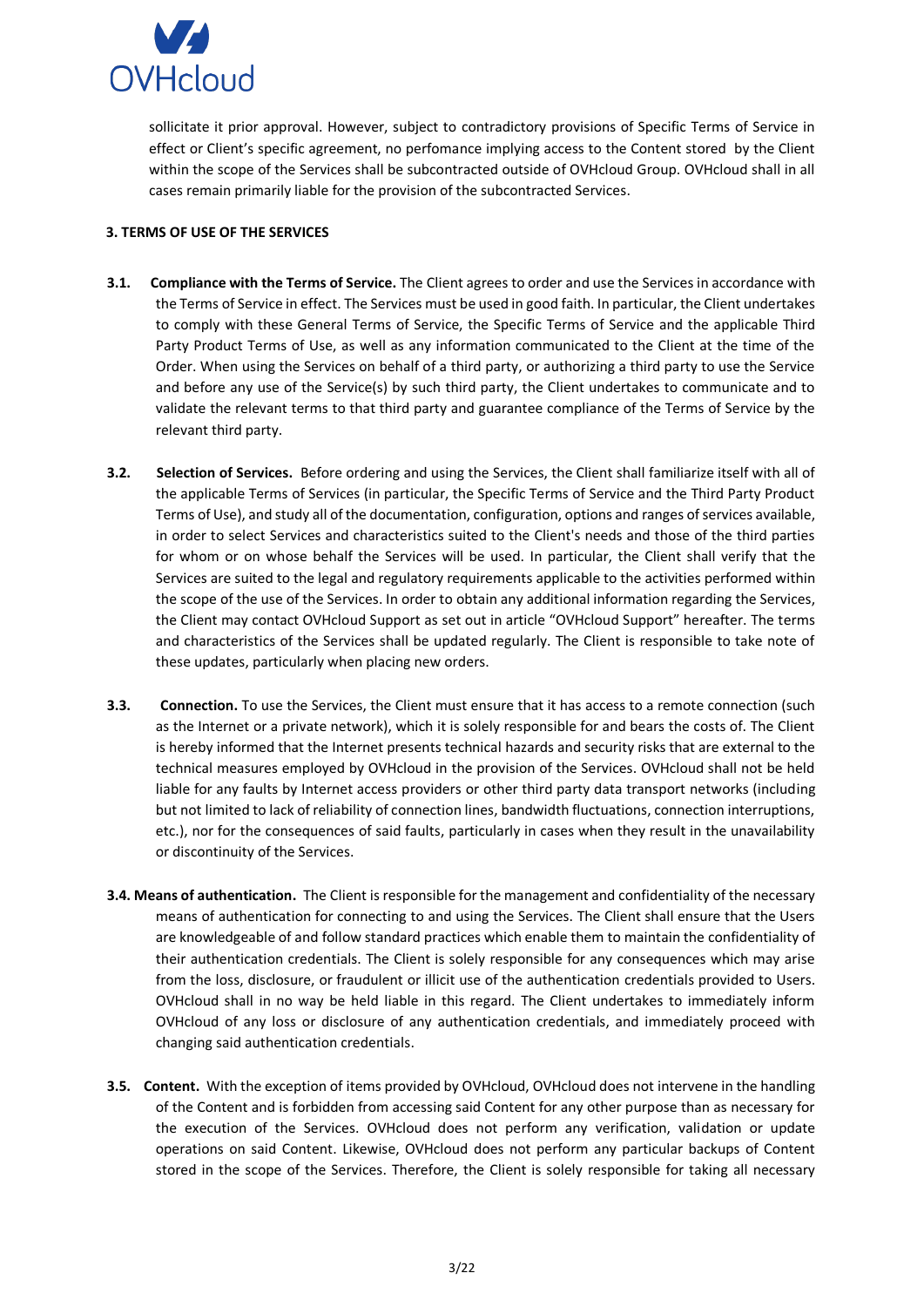

sollicitate it prior approval. However, subject to contradictory provisions of Specific Terms of Service in effect or Client's specific agreement, no perfomance implying access to the Content stored by the Client within the scope of the Services shall be subcontracted outside of OVHcloud Group. OVHcloud shall in all cases remain primarily liable for the provision of the subcontracted Services.

## <span id="page-2-0"></span>**3. TERMS OF USE OF THE SERVICES**

- **3.1. Compliance with the Terms of Service.** The Client agrees to order and use the Services in accordance with the Terms of Service in effect. The Services must be used in good faith. In particular, the Client undertakes to comply with these General Terms of Service, the Specific Terms of Service and the applicable Third Party Product Terms of Use, as well as any information communicated to the Client at the time of the Order. When using the Services on behalf of a third party, or authorizing a third party to use the Service and before any use of the Service(s) by such third party, the Client undertakes to communicate and to validate the relevant terms to that third party and guarantee compliance of the Terms of Service by the relevant third party.
- **3.2. Selection of Services.** Before ordering and using the Services, the Client shall familiarize itself with all of the applicable Terms of Services (in particular, the Specific Terms of Service and the Third Party Product Terms of Use), and study all of the documentation, configuration, options and ranges of services available, in order to select Services and characteristics suited to the Client's needs and those of the third parties for whom or on whose behalf the Services will be used. In particular, the Client shall verify that the Services are suited to the legal and regulatory requirements applicable to the activities performed within the scope of the use of the Services. In order to obtain any additional information regarding the Services, the Client may contact OVHcloud Support as set out in article "OVHcloud Support" hereafter. The terms and characteristics of the Services shall be updated regularly. The Client is responsible to take note of these updates, particularly when placing new orders.
- **3.3. Connection.** To use the Services, the Client must ensure that it has access to a remote connection (such as the Internet or a private network), which it is solely responsible for and bears the costs of. The Client is hereby informed that the Internet presents technical hazards and security risks that are external to the technical measures employed by OVHcloud in the provision of the Services. OVHcloud shall not be held liable for any faults by Internet access providers or other third party data transport networks (including but not limited to lack of reliability of connection lines, bandwidth fluctuations, connection interruptions, etc.), nor for the consequences of said faults, particularly in cases when they result in the unavailability or discontinuity of the Services.
- **3.4. Means of authentication.** The Client is responsible for the management and confidentiality of the necessary means of authentication for connecting to and using the Services. The Client shall ensure that the Users are knowledgeable of and follow standard practices which enable them to maintain the confidentiality of their authentication credentials. The Client is solely responsible for any consequences which may arise from the loss, disclosure, or fraudulent or illicit use of the authentication credentials provided to Users. OVHcloud shall in no way be held liable in this regard. The Client undertakes to immediately inform OVHcloud of any loss or disclosure of any authentication credentials, and immediately proceed with changing said authentication credentials.
- **3.5. Content.** With the exception of items provided by OVHcloud, OVHcloud does not intervene in the handling of the Content and is forbidden from accessing said Content for any other purpose than as necessary for the execution of the Services. OVHcloud does not perform any verification, validation or update operations on said Content. Likewise, OVHcloud does not perform any particular backups of Content stored in the scope of the Services. Therefore, the Client is solely responsible for taking all necessary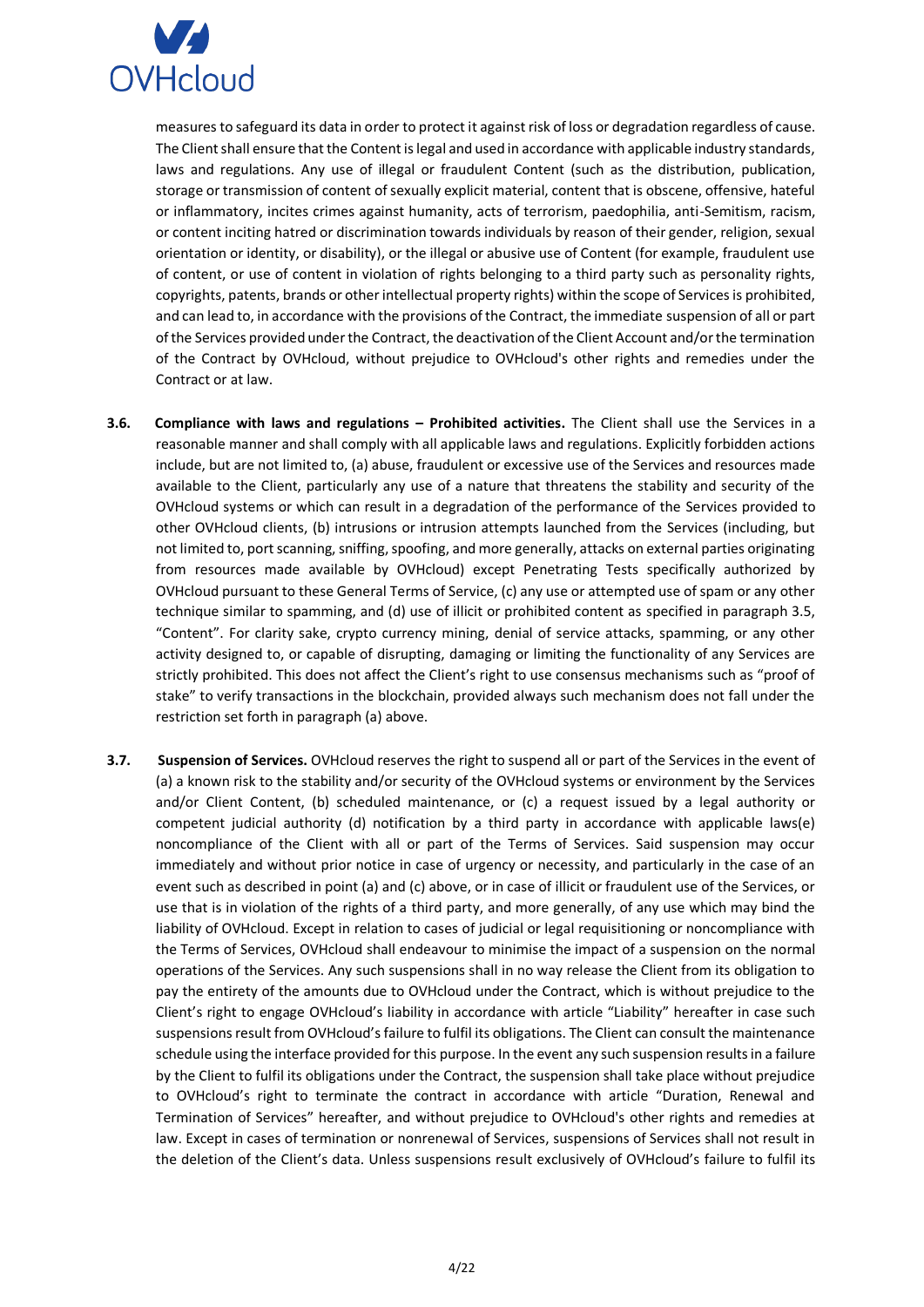

measures to safeguard its data in order to protect it against risk of loss or degradation regardless of cause. The Client shall ensure that the Content is legal and used in accordance with applicable industry standards, laws and regulations. Any use of illegal or fraudulent Content (such as the distribution, publication, storage or transmission of content of sexually explicit material, content that is obscene, offensive, hateful or inflammatory, incites crimes against humanity, acts of terrorism, paedophilia, anti-Semitism, racism, or content inciting hatred or discrimination towards individuals by reason of their gender, religion, sexual orientation or identity, or disability), or the illegal or abusive use of Content (for example, fraudulent use of content, or use of content in violation of rights belonging to a third party such as personality rights, copyrights, patents, brands or other intellectual property rights) within the scope of Services is prohibited, and can lead to, in accordance with the provisions of the Contract, the immediate suspension of all or part of the Services provided under the Contract, the deactivation of the Client Account and/or the termination of the Contract by OVHcloud, without prejudice to OVHcloud's other rights and remedies under the Contract or at law.

- **3.6. Compliance with laws and regulations – Prohibited activities.** The Client shall use the Services in a reasonable manner and shall comply with all applicable laws and regulations. Explicitly forbidden actions include, but are not limited to, (a) abuse, fraudulent or excessive use of the Services and resources made available to the Client, particularly any use of a nature that threatens the stability and security of the OVHcloud systems or which can result in a degradation of the performance of the Services provided to other OVHcloud clients, (b) intrusions or intrusion attempts launched from the Services (including, but not limited to, port scanning, sniffing, spoofing, and more generally, attacks on external parties originating from resources made available by OVHcloud) except Penetrating Tests specifically authorized by OVHcloud pursuant to these General Terms of Service, (c) any use or attempted use of spam or any other technique similar to spamming, and (d) use of illicit or prohibited content as specified in paragraph 3.5, "Content". For clarity sake, crypto currency mining, denial of service attacks, spamming, or any other activity designed to, or capable of disrupting, damaging or limiting the functionality of any Services are strictly prohibited. This does not affect the Client's right to use consensus mechanisms such as "proof of stake" to verify transactions in the blockchain, provided always such mechanism does not fall under the restriction set forth in paragraph (a) above.
- **3.7. Suspension of Services.** OVHcloud reserves the right to suspend all or part of the Services in the event of (a) a known risk to the stability and/or security of the OVHcloud systems or environment by the Services and/or Client Content, (b) scheduled maintenance, or (c) a request issued by a legal authority or competent judicial authority (d) notification by a third party in accordance with applicable laws(e) noncompliance of the Client with all or part of the Terms of Services. Said suspension may occur immediately and without prior notice in case of urgency or necessity, and particularly in the case of an event such as described in point (a) and (c) above, or in case of illicit or fraudulent use of the Services, or use that is in violation of the rights of a third party, and more generally, of any use which may bind the liability of OVHcloud. Except in relation to cases of judicial or legal requisitioning or noncompliance with the Terms of Services, OVHcloud shall endeavour to minimise the impact of a suspension on the normal operations of the Services. Any such suspensions shall in no way release the Client from its obligation to pay the entirety of the amounts due to OVHcloud under the Contract, which is without prejudice to the Client's right to engage OVHcloud's liability in accordance with article "Liability" hereafter in case such suspensions result from OVHcloud's failure to fulfil its obligations. The Client can consult the maintenance schedule using the interface provided for this purpose. In the event any such suspension results in a failure by the Client to fulfil its obligations under the Contract, the suspension shall take place without prejudice to OVHcloud's right to terminate the contract in accordance with article "Duration, Renewal and Termination of Services" hereafter, and without prejudice to OVHcloud's other rights and remedies at law. Except in cases of termination or nonrenewal of Services, suspensions of Services shall not result in the deletion of the Client's data. Unless suspensions result exclusively of OVHcloud's failure to fulfil its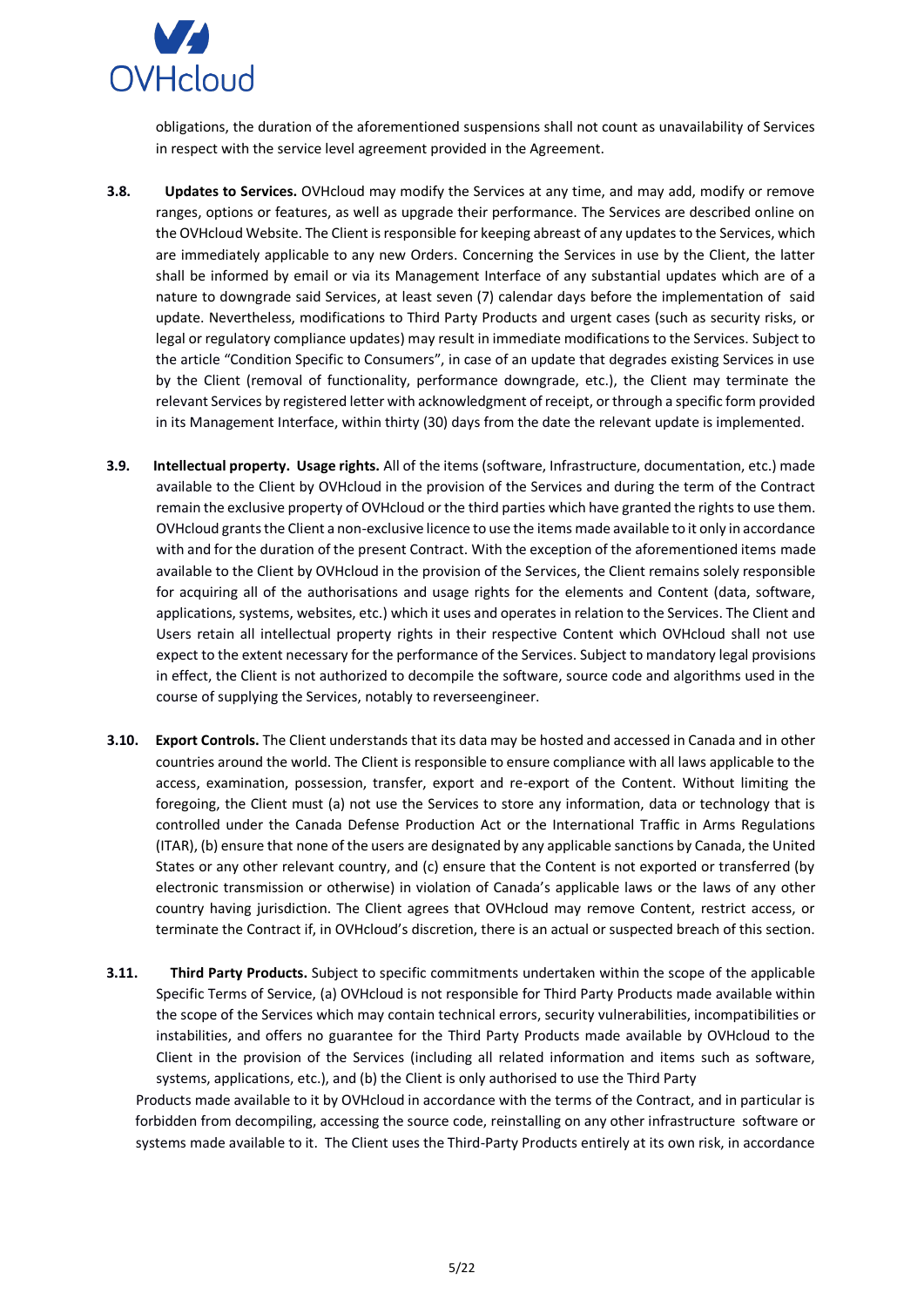

obligations, the duration of the aforementioned suspensions shall not count as unavailability of Services in respect with the service level agreement provided in the Agreement.

- **3.8. Updates to Services.** OVHcloud may modify the Services at any time, and may add, modify or remove ranges, options or features, as well as upgrade their performance. The Services are described online on the OVHcloud Website. The Client is responsible for keeping abreast of any updates to the Services, which are immediately applicable to any new Orders. Concerning the Services in use by the Client, the latter shall be informed by email or via its Management Interface of any substantial updates which are of a nature to downgrade said Services, at least seven (7) calendar days before the implementation of said update. Nevertheless, modifications to Third Party Products and urgent cases (such as security risks, or legal or regulatory compliance updates) may result in immediate modifications to the Services. Subject to the article "Condition Specific to Consumers", in case of an update that degrades existing Services in use by the Client (removal of functionality, performance downgrade, etc.), the Client may terminate the relevant Services by registered letter with acknowledgment of receipt, or through a specific form provided in its Management Interface, within thirty (30) days from the date the relevant update is implemented.
- **3.9. Intellectual property. Usage rights.** All of the items (software, Infrastructure, documentation, etc.) made available to the Client by OVHcloud in the provision of the Services and during the term of the Contract remain the exclusive property of OVHcloud or the third parties which have granted the rights to use them. OVHcloud grants the Client a non-exclusive licence to use the items made available to it only in accordance with and for the duration of the present Contract. With the exception of the aforementioned items made available to the Client by OVHcloud in the provision of the Services, the Client remains solely responsible for acquiring all of the authorisations and usage rights for the elements and Content (data, software, applications, systems, websites, etc.) which it uses and operates in relation to the Services. The Client and Users retain all intellectual property rights in their respective Content which OVHcloud shall not use expect to the extent necessary for the performance of the Services. Subject to mandatory legal provisions in effect, the Client is not authorized to decompile the software, source code and algorithms used in the course of supplying the Services, notably to reverseengineer.
- **3.10. Export Controls.** The Client understands that its data may be hosted and accessed in Canada and in other countries around the world. The Client is responsible to ensure compliance with all laws applicable to the access, examination, possession, transfer, export and re-export of the Content. Without limiting the foregoing, the Client must (a) not use the Services to store any information, data or technology that is controlled under the Canada Defense Production Act or the International Traffic in Arms Regulations (ITAR), (b) ensure that none of the users are designated by any applicable sanctions by Canada, the United States or any other relevant country, and (c) ensure that the Content is not exported or transferred (by electronic transmission or otherwise) in violation of Canada's applicable laws or the laws of any other country having jurisdiction. The Client agrees that OVHcloud may remove Content, restrict access, or terminate the Contract if, in OVHcloud's discretion, there is an actual or suspected breach of this section.
- **3.11. Third Party Products.** Subject to specific commitments undertaken within the scope of the applicable Specific Terms of Service, (a) OVHcloud is not responsible for Third Party Products made available within the scope of the Services which may contain technical errors, security vulnerabilities, incompatibilities or instabilities, and offers no guarantee for the Third Party Products made available by OVHcloud to the Client in the provision of the Services (including all related information and items such as software, systems, applications, etc.), and (b) the Client is only authorised to use the Third Party

Products made available to it by OVHcloud in accordance with the terms of the Contract, and in particular is forbidden from decompiling, accessing the source code, reinstalling on any other infrastructure software or systems made available to it. The Client uses the Third-Party Products entirely at its own risk, in accordance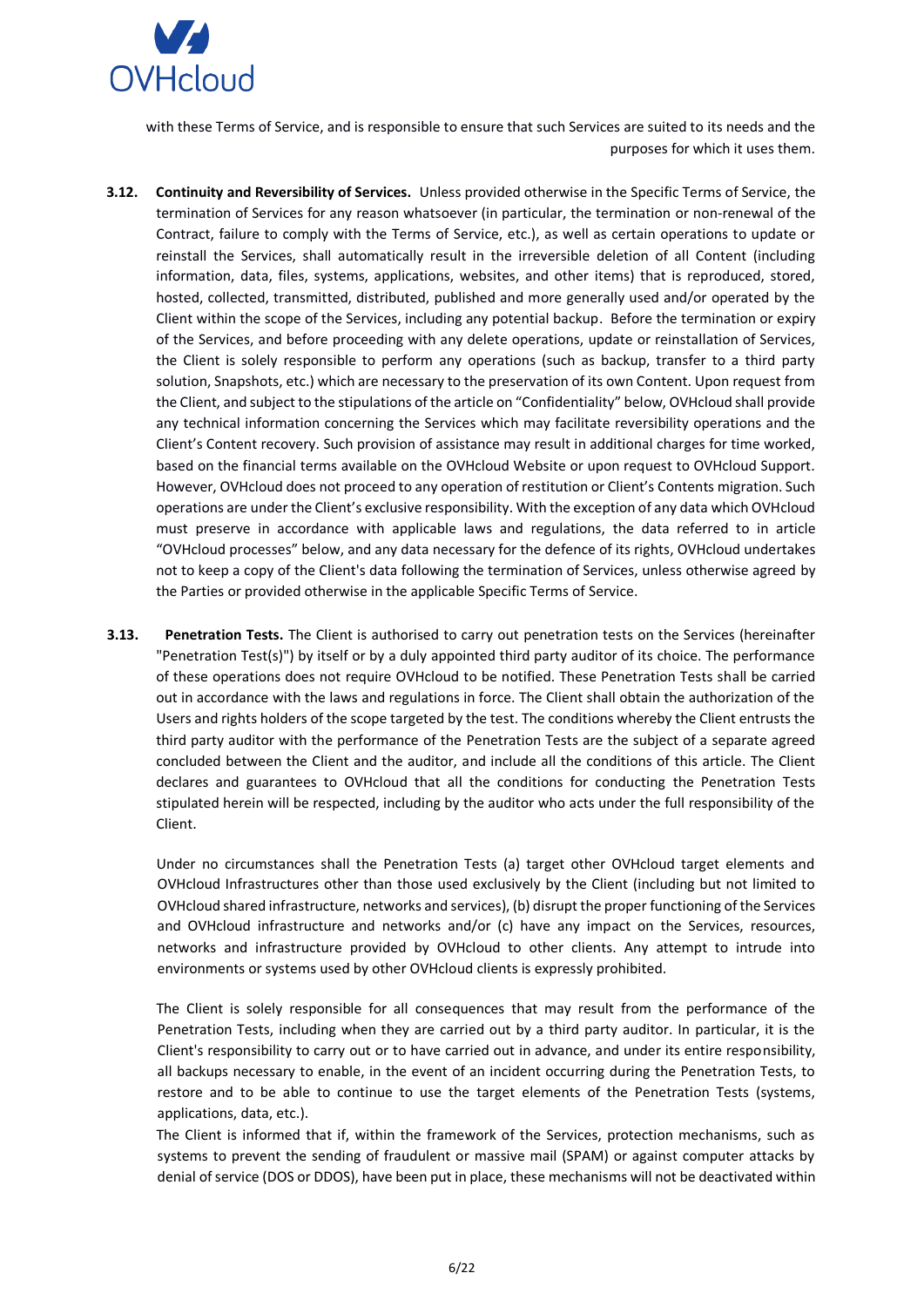

with these Terms of Service, and is responsible to ensure that such Services are suited to its needs and the purposes for which it uses them.

- **3.12. Continuity and Reversibility of Services.** Unless provided otherwise in the Specific Terms of Service, the termination of Services for any reason whatsoever (in particular, the termination or non-renewal of the Contract, failure to comply with the Terms of Service, etc.), as well as certain operations to update or reinstall the Services, shall automatically result in the irreversible deletion of all Content (including information, data, files, systems, applications, websites, and other items) that is reproduced, stored, hosted, collected, transmitted, distributed, published and more generally used and/or operated by the Client within the scope of the Services, including any potential backup. Before the termination or expiry of the Services, and before proceeding with any delete operations, update or reinstallation of Services, the Client is solely responsible to perform any operations (such as backup, transfer to a third party solution, Snapshots, etc.) which are necessary to the preservation of its own Content. Upon request from the Client, and subject to the stipulations of the article on "Confidentiality" below, OVHcloud shall provide any technical information concerning the Services which may facilitate reversibility operations and the Client's Content recovery. Such provision of assistance may result in additional charges for time worked, based on the financial terms available on the OVHcloud Website or upon request to OVHcloud Support. However, OVHcloud does not proceed to any operation of restitution or Client's Contents migration. Such operations are under the Client's exclusive responsibility. With the exception of any data which OVHcloud must preserve in accordance with applicable laws and regulations, the data referred to in article "OVHcloud processes" below, and any data necessary for the defence of its rights, OVHcloud undertakes not to keep a copy of the Client's data following the termination of Services, unless otherwise agreed by the Parties or provided otherwise in the applicable Specific Terms of Service.
- **3.13. Penetration Tests.** The Client is authorised to carry out penetration tests on the Services (hereinafter "Penetration Test(s)") by itself or by a duly appointed third party auditor of its choice. The performance of these operations does not require OVHcloud to be notified. These Penetration Tests shall be carried out in accordance with the laws and regulations in force. The Client shall obtain the authorization of the Users and rights holders of the scope targeted by the test. The conditions whereby the Client entrusts the third party auditor with the performance of the Penetration Tests are the subject of a separate agreed concluded between the Client and the auditor, and include all the conditions of this article. The Client declares and guarantees to OVHcloud that all the conditions for conducting the Penetration Tests stipulated herein will be respected, including by the auditor who acts under the full responsibility of the Client.

Under no circumstances shall the Penetration Tests (a) target other OVHcloud target elements and OVHcloud Infrastructures other than those used exclusively by the Client (including but not limited to OVHcloud shared infrastructure, networks and services), (b) disrupt the proper functioning of the Services and OVHcloud infrastructure and networks and/or (c) have any impact on the Services, resources, networks and infrastructure provided by OVHcloud to other clients. Any attempt to intrude into environments or systems used by other OVHcloud clients is expressly prohibited.

The Client is solely responsible for all consequences that may result from the performance of the Penetration Tests, including when they are carried out by a third party auditor. In particular, it is the Client's responsibility to carry out or to have carried out in advance, and under its entire responsibility, all backups necessary to enable, in the event of an incident occurring during the Penetration Tests, to restore and to be able to continue to use the target elements of the Penetration Tests (systems, applications, data, etc.).

The Client is informed that if, within the framework of the Services, protection mechanisms, such as systems to prevent the sending of fraudulent or massive mail (SPAM) or against computer attacks by denial of service (DOS or DDOS), have been put in place, these mechanisms will not be deactivated within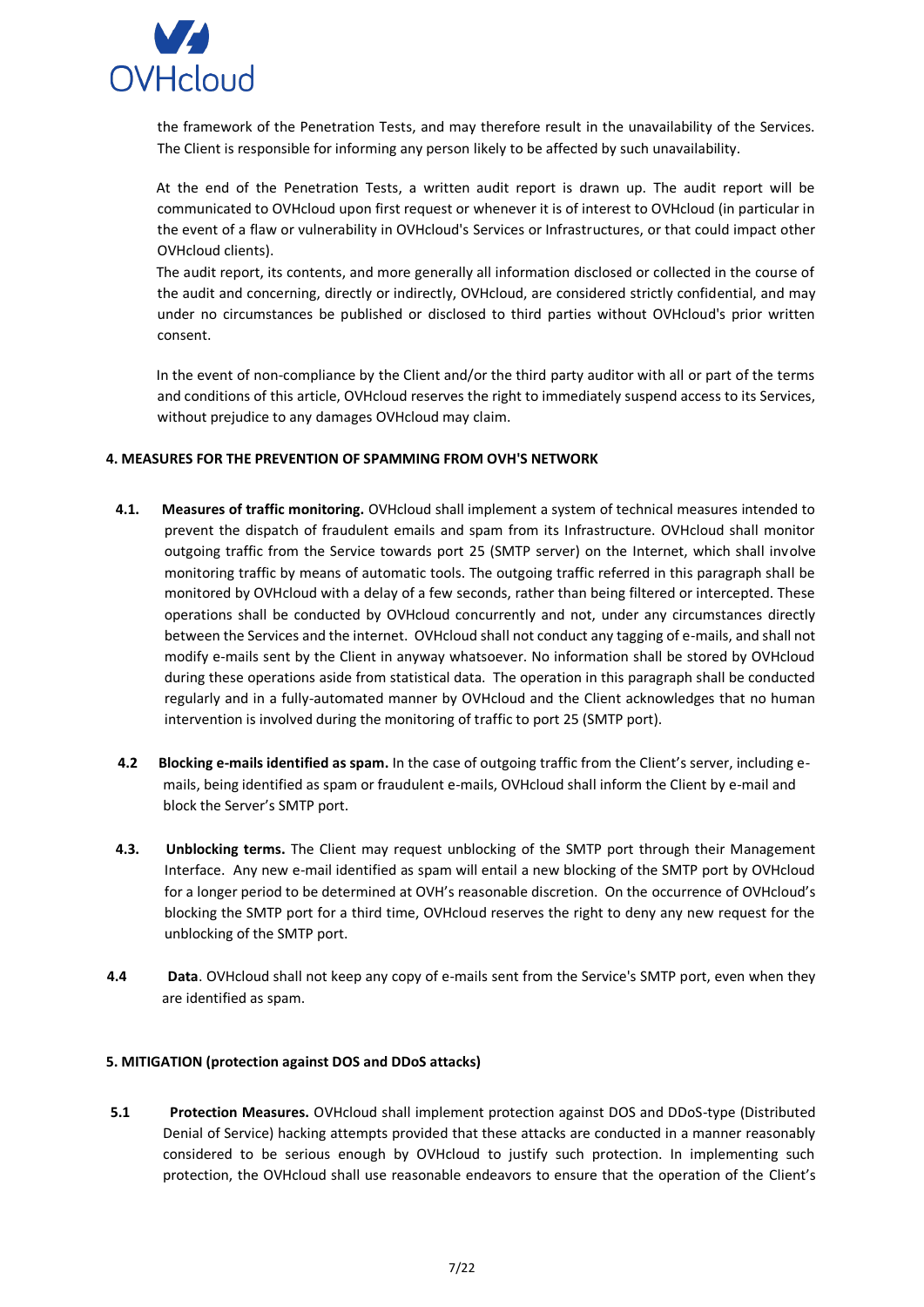

the framework of the Penetration Tests, and may therefore result in the unavailability of the Services. The Client is responsible for informing any person likely to be affected by such unavailability.

At the end of the Penetration Tests, a written audit report is drawn up. The audit report will be communicated to OVHcloud upon first request or whenever it is of interest to OVHcloud (in particular in the event of a flaw or vulnerability in OVHcloud's Services or Infrastructures, or that could impact other OVHcloud clients).

The audit report, its contents, and more generally all information disclosed or collected in the course of the audit and concerning, directly or indirectly, OVHcloud, are considered strictly confidential, and may under no circumstances be published or disclosed to third parties without OVHcloud's prior written consent.

In the event of non-compliance by the Client and/or the third party auditor with all or part of the terms and conditions of this article, OVHcloud reserves the right to immediately suspend access to its Services, without prejudice to any damages OVHcloud may claim.

### <span id="page-6-0"></span>**4. MEASURES FOR THE PREVENTION OF SPAMMING FROM OVH'S NETWORK**

- **4.1. Measures of traffic monitoring.** OVHcloud shall implement a system of technical measures intended to prevent the dispatch of fraudulent emails and spam from its Infrastructure. OVHcloud shall monitor outgoing traffic from the Service towards port 25 (SMTP server) on the Internet, which shall involve monitoring traffic by means of automatic tools. The outgoing traffic referred in this paragraph shall be monitored by OVHcloud with a delay of a few seconds, rather than being filtered or intercepted. These operations shall be conducted by OVHcloud concurrently and not, under any circumstances directly between the Services and the internet. OVHcloud shall not conduct any tagging of e-mails, and shall not modify e-mails sent by the Client in anyway whatsoever. No information shall be stored by OVHcloud during these operations aside from statistical data. The operation in this paragraph shall be conducted regularly and in a fully-automated manner by OVHcloud and the Client acknowledges that no human intervention is involved during the monitoring of traffic to port 25 (SMTP port).
- **4.2 Blocking e-mails identified as spam.** In the case of outgoing traffic from the Client's server, including emails, being identified as spam or fraudulent e-mails, OVHcloud shall inform the Client by e-mail and block the Server's SMTP port.
- **4.3. Unblocking terms.** The Client may request unblocking of the SMTP port through their Management Interface. Any new e-mail identified as spam will entail a new blocking of the SMTP port by OVHcloud for a longer period to be determined at OVH's reasonable discretion. On the occurrence of OVHcloud's blocking the SMTP port for a third time, OVHcloud reserves the right to deny any new request for the unblocking of the SMTP port.
- **4.4 Data**. OVHcloud shall not keep any copy of e-mails sent from the Service's SMTP port, even when they are identified as spam.

### <span id="page-6-1"></span>**5. MITIGATION (protection against DOS and DDoS attacks)**

**5.1 Protection Measures.** OVHcloud shall implement protection against DOS and DDoS-type (Distributed Denial of Service) hacking attempts provided that these attacks are conducted in a manner reasonably considered to be serious enough by OVHcloud to justify such protection. In implementing such protection, the OVHcloud shall use reasonable endeavors to ensure that the operation of the Client's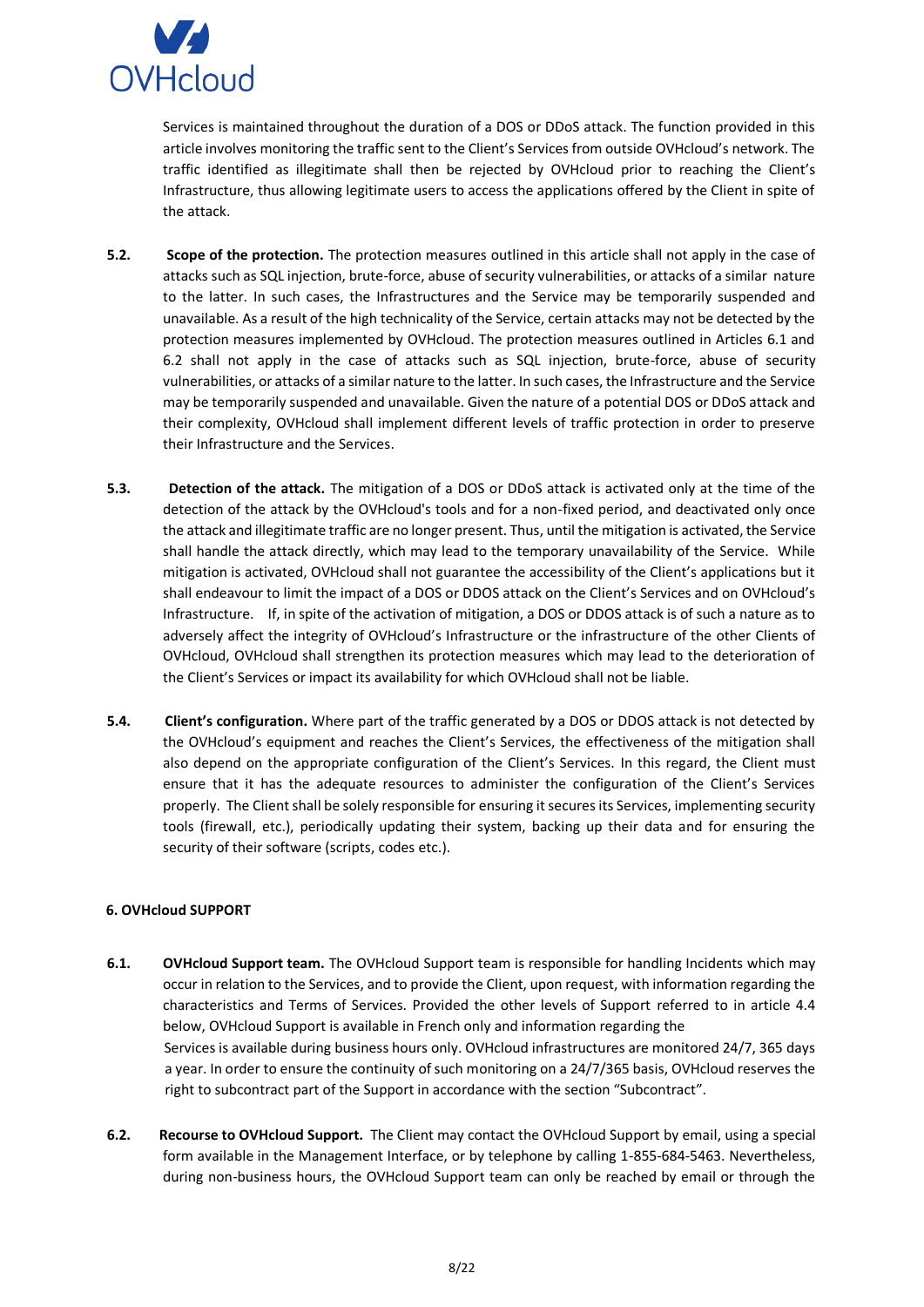

Services is maintained throughout the duration of a DOS or DDoS attack. The function provided in this article involves monitoring the traffic sent to the Client's Services from outside OVHcloud's network. The traffic identified as illegitimate shall then be rejected by OVHcloud prior to reaching the Client's Infrastructure, thus allowing legitimate users to access the applications offered by the Client in spite of the attack.

- **5.2. Scope of the protection.** The protection measures outlined in this article shall not apply in the case of attacks such as SQL injection, brute-force, abuse of security vulnerabilities, or attacks of a similar nature to the latter. In such cases, the Infrastructures and the Service may be temporarily suspended and unavailable. As a result of the high technicality of the Service, certain attacks may not be detected by the protection measures implemented by OVHcloud. The protection measures outlined in Articles 6.1 and 6.2 shall not apply in the case of attacks such as SQL injection, brute-force, abuse of security vulnerabilities, or attacks of a similar nature to the latter. In such cases, the Infrastructure and the Service may be temporarily suspended and unavailable. Given the nature of a potential DOS or DDoS attack and their complexity, OVHcloud shall implement different levels of traffic protection in order to preserve their Infrastructure and the Services.
- **5.3. Detection of the attack.** The mitigation of a DOS or DDoS attack is activated only at the time of the detection of the attack by the OVHcloud's tools and for a non-fixed period, and deactivated only once the attack and illegitimate traffic are no longer present. Thus, until the mitigation is activated, the Service shall handle the attack directly, which may lead to the temporary unavailability of the Service. While mitigation is activated, OVHcloud shall not guarantee the accessibility of the Client's applications but it shall endeavour to limit the impact of a DOS or DDOS attack on the Client's Services and on OVHcloud's Infrastructure. If, in spite of the activation of mitigation, a DOS or DDOS attack is of such a nature as to adversely affect the integrity of OVHcloud's Infrastructure or the infrastructure of the other Clients of OVHcloud, OVHcloud shall strengthen its protection measures which may lead to the deterioration of the Client's Services or impact its availability for which OVHcloud shall not be liable.
- **5.4.** Client's configuration. Where part of the traffic generated by a DOS or DDOS attack is not detected by the OVHcloud's equipment and reaches the Client's Services, the effectiveness of the mitigation shall also depend on the appropriate configuration of the Client's Services. In this regard, the Client must ensure that it has the adequate resources to administer the configuration of the Client's Services properly. The Client shall be solely responsible for ensuring it secures its Services, implementing security tools (firewall, etc.), periodically updating their system, backing up their data and for ensuring the security of their software (scripts, codes etc.).

# <span id="page-7-0"></span>**6. OVHcloud SUPPORT**

- **6.1. OVHcloud Support team.** The OVHcloud Support team is responsible for handling Incidents which may occur in relation to the Services, and to provide the Client, upon request, with information regarding the characteristics and Terms of Services. Provided the other levels of Support referred to in article 4.4 below, OVHcloud Support is available in French only and information regarding the Services is available during business hours only. OVHcloud infrastructures are monitored 24/7, 365 days a year. In order to ensure the continuity of such monitoring on a 24/7/365 basis, OVHcloud reserves the right to subcontract part of the Support in accordance with the section "Subcontract".
- **6.2. Recourse to OVHcloud Support.** The Client may contact the OVHcloud Support by email, using a special form available in the Management Interface, or by telephone by calling 1-855-684-5463. Nevertheless, during non-business hours, the OVHcloud Support team can only be reached by email or through the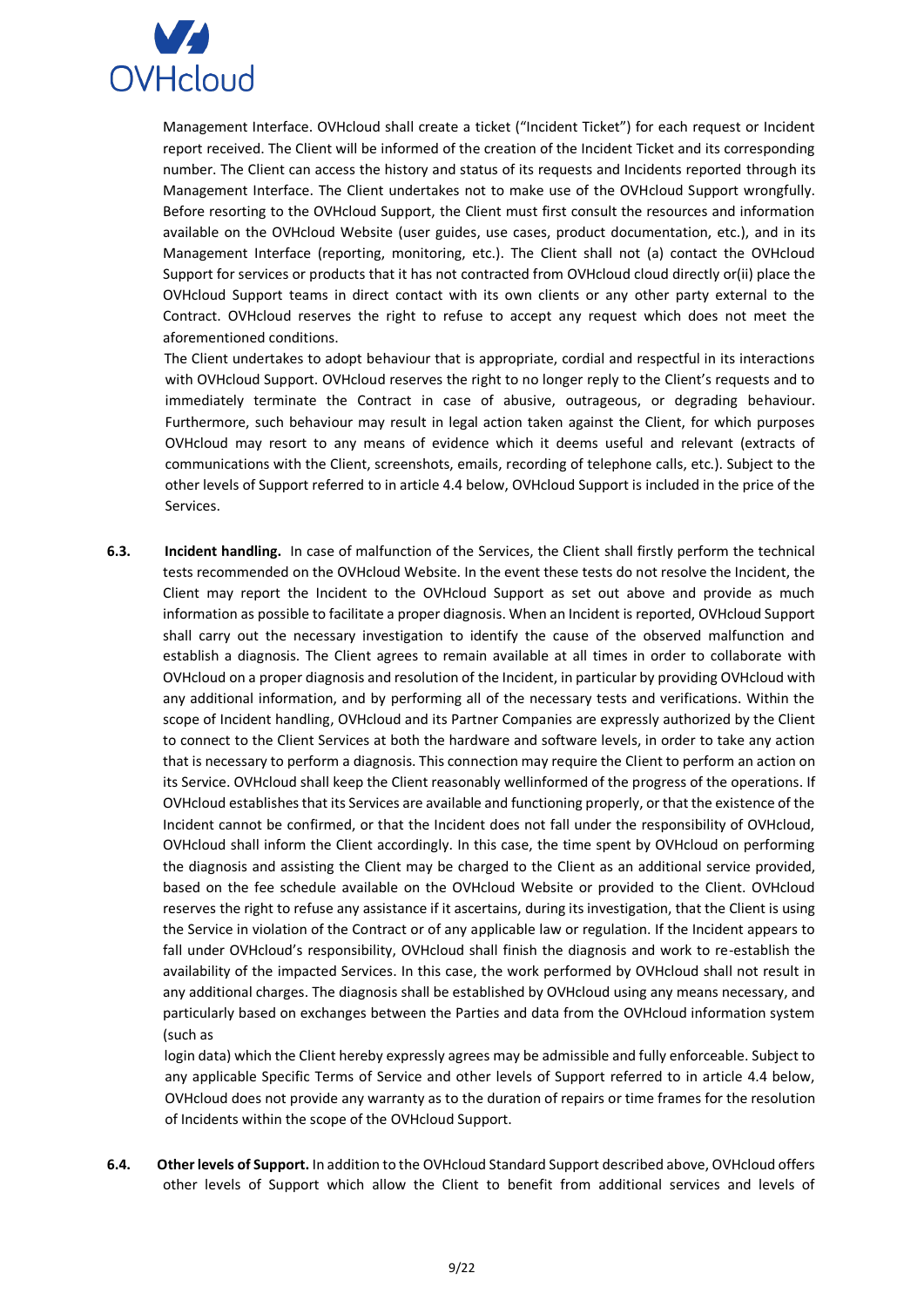

Management Interface. OVHcloud shall create a ticket ("Incident Ticket") for each request or Incident report received. The Client will be informed of the creation of the Incident Ticket and its corresponding number. The Client can access the history and status of its requests and Incidents reported through its Management Interface. The Client undertakes not to make use of the OVHcloud Support wrongfully. Before resorting to the OVHcloud Support, the Client must first consult the resources and information available on the OVHcloud Website (user guides, use cases, product documentation, etc.), and in its Management Interface (reporting, monitoring, etc.). The Client shall not (a) contact the OVHcloud Support for services or products that it has not contracted from OVHcloud cloud directly or(ii) place the OVHcloud Support teams in direct contact with its own clients or any other party external to the Contract. OVHcloud reserves the right to refuse to accept any request which does not meet the aforementioned conditions.

The Client undertakes to adopt behaviour that is appropriate, cordial and respectful in its interactions with OVHcloud Support. OVHcloud reserves the right to no longer reply to the Client's requests and to immediately terminate the Contract in case of abusive, outrageous, or degrading behaviour. Furthermore, such behaviour may result in legal action taken against the Client, for which purposes OVHcloud may resort to any means of evidence which it deems useful and relevant (extracts of communications with the Client, screenshots, emails, recording of telephone calls, etc.). Subject to the other levels of Support referred to in article 4.4 below, OVHcloud Support is included in the price of the Services.

**6.3. Incident handling.** In case of malfunction of the Services, the Client shall firstly perform the technical tests recommended on the OVHcloud Website. In the event these tests do not resolve the Incident, the Client may report the Incident to the OVHcloud Support as set out above and provide as much information as possible to facilitate a proper diagnosis. When an Incident is reported, OVHcloud Support shall carry out the necessary investigation to identify the cause of the observed malfunction and establish a diagnosis. The Client agrees to remain available at all times in order to collaborate with OVHcloud on a proper diagnosis and resolution of the Incident, in particular by providing OVHcloud with any additional information, and by performing all of the necessary tests and verifications. Within the scope of Incident handling, OVHcloud and its Partner Companies are expressly authorized by the Client to connect to the Client Services at both the hardware and software levels, in order to take any action that is necessary to perform a diagnosis. This connection may require the Client to perform an action on its Service. OVHcloud shall keep the Client reasonably wellinformed of the progress of the operations. If OVHcloud establishes that its Services are available and functioning properly, or that the existence of the Incident cannot be confirmed, or that the Incident does not fall under the responsibility of OVHcloud, OVHcloud shall inform the Client accordingly. In this case, the time spent by OVHcloud on performing the diagnosis and assisting the Client may be charged to the Client as an additional service provided, based on the fee schedule available on the OVHcloud Website or provided to the Client. OVHcloud reserves the right to refuse any assistance if it ascertains, during its investigation, that the Client is using the Service in violation of the Contract or of any applicable law or regulation. If the Incident appears to fall under OVHcloud's responsibility, OVHcloud shall finish the diagnosis and work to re-establish the availability of the impacted Services. In this case, the work performed by OVHcloud shall not result in any additional charges. The diagnosis shall be established by OVHcloud using any means necessary, and particularly based on exchanges between the Parties and data from the OVHcloud information system (such as

login data) which the Client hereby expressly agrees may be admissible and fully enforceable. Subject to any applicable Specific Terms of Service and other levels of Support referred to in article 4.4 below, OVHcloud does not provide any warranty as to the duration of repairs or time frames for the resolution of Incidents within the scope of the OVHcloud Support.

**6.4. Other levels of Support.** In addition to the OVHcloud Standard Support described above, OVHcloud offers other levels of Support which allow the Client to benefit from additional services and levels of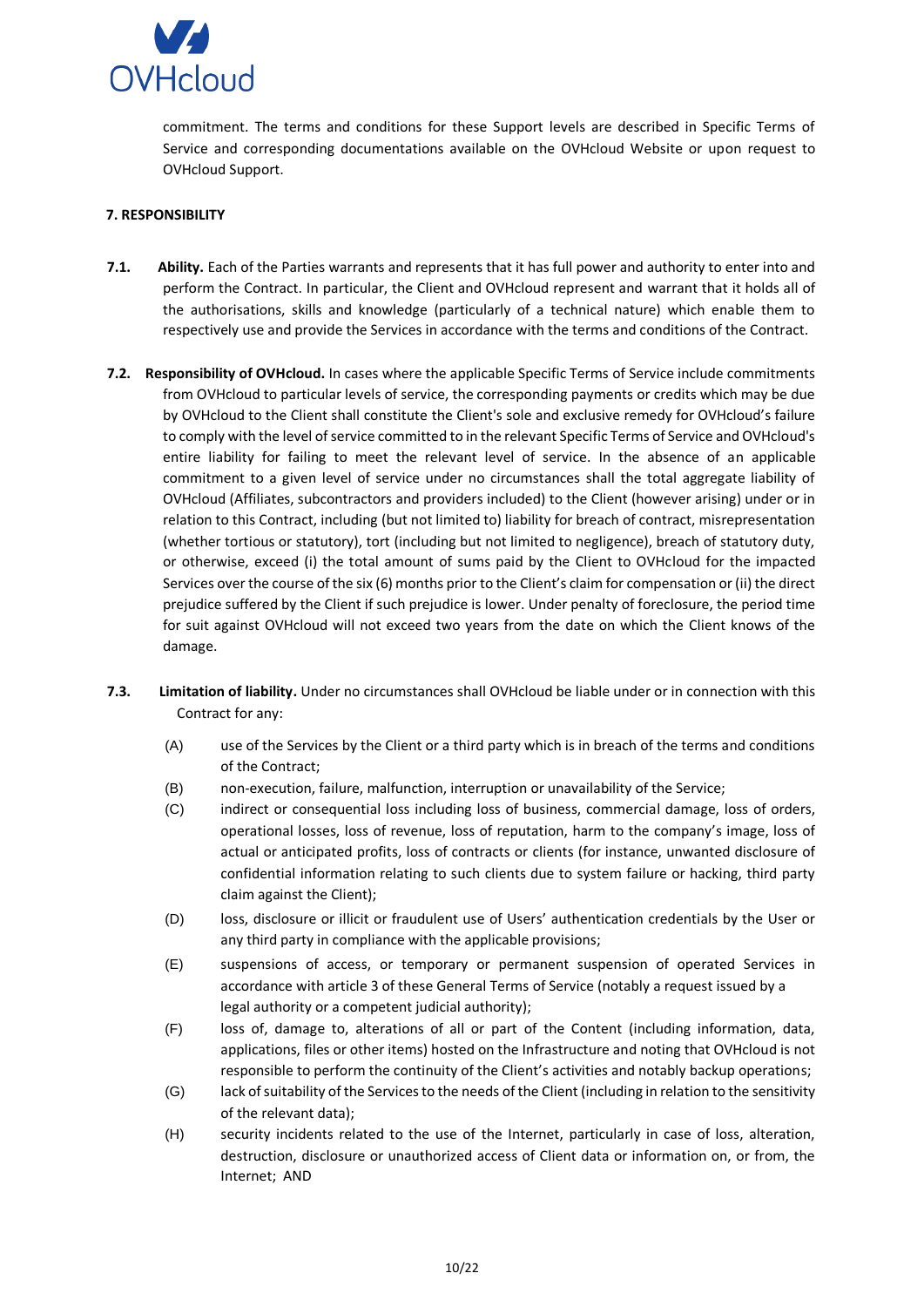

commitment. The terms and conditions for these Support levels are described in Specific Terms of Service and corresponding documentations available on the OVHcloud Website or upon request to OVHcloud Support.

### <span id="page-9-0"></span>**7. RESPONSIBILITY**

- **7.1. Ability.** Each of the Parties warrants and represents that it has full power and authority to enter into and perform the Contract. In particular, the Client and OVHcloud represent and warrant that it holds all of the authorisations, skills and knowledge (particularly of a technical nature) which enable them to respectively use and provide the Services in accordance with the terms and conditions of the Contract.
- **7.2. Responsibility of OVHcloud.** In cases where the applicable Specific Terms of Service include commitments from OVHcloud to particular levels of service, the corresponding payments or credits which may be due by OVHcloud to the Client shall constitute the Client's sole and exclusive remedy for OVHcloud's failure to comply with the level of service committed to in the relevant Specific Terms of Service and OVHcloud's entire liability for failing to meet the relevant level of service. In the absence of an applicable commitment to a given level of service under no circumstances shall the total aggregate liability of OVHcloud (Affiliates, subcontractors and providers included) to the Client (however arising) under or in relation to this Contract, including (but not limited to) liability for breach of contract, misrepresentation (whether tortious or statutory), tort (including but not limited to negligence), breach of statutory duty, or otherwise, exceed (i) the total amount of sums paid by the Client to OVHcloud for the impacted Services over the course of the six (6) months prior to the Client's claim for compensation or (ii) the direct prejudice suffered by the Client if such prejudice is lower. Under penalty of foreclosure, the period time for suit against OVHcloud will not exceed two years from the date on which the Client knows of the damage.
- **7.3. Limitation of liability.** Under no circumstances shall OVHcloud be liable under or in connection with this Contract for any:
	- (A) use of the Services by the Client or a third party which is in breach of the terms and conditions of the Contract;
	- (B) non-execution, failure, malfunction, interruption or unavailability of the Service;
	- (C) indirect or consequential loss including loss of business, commercial damage, loss of orders, operational losses, loss of revenue, loss of reputation, harm to the company's image, loss of actual or anticipated profits, loss of contracts or clients (for instance, unwanted disclosure of confidential information relating to such clients due to system failure or hacking, third party claim against the Client);
	- (D) loss, disclosure or illicit or fraudulent use of Users' authentication credentials by the User or any third party in compliance with the applicable provisions;
	- (E) suspensions of access, or temporary or permanent suspension of operated Services in accordance with article 3 of these General Terms of Service (notably a request issued by a legal authority or a competent judicial authority);
	- (F) loss of, damage to, alterations of all or part of the Content (including information, data, applications, files or other items) hosted on the Infrastructure and noting that OVHcloud is not responsible to perform the continuity of the Client's activities and notably backup operations;
	- (G) lack of suitability of the Services to the needs of the Client (including in relation to the sensitivity of the relevant data);
	- (H) security incidents related to the use of the Internet, particularly in case of loss, alteration, destruction, disclosure or unauthorized access of Client data or information on, or from, the Internet; AND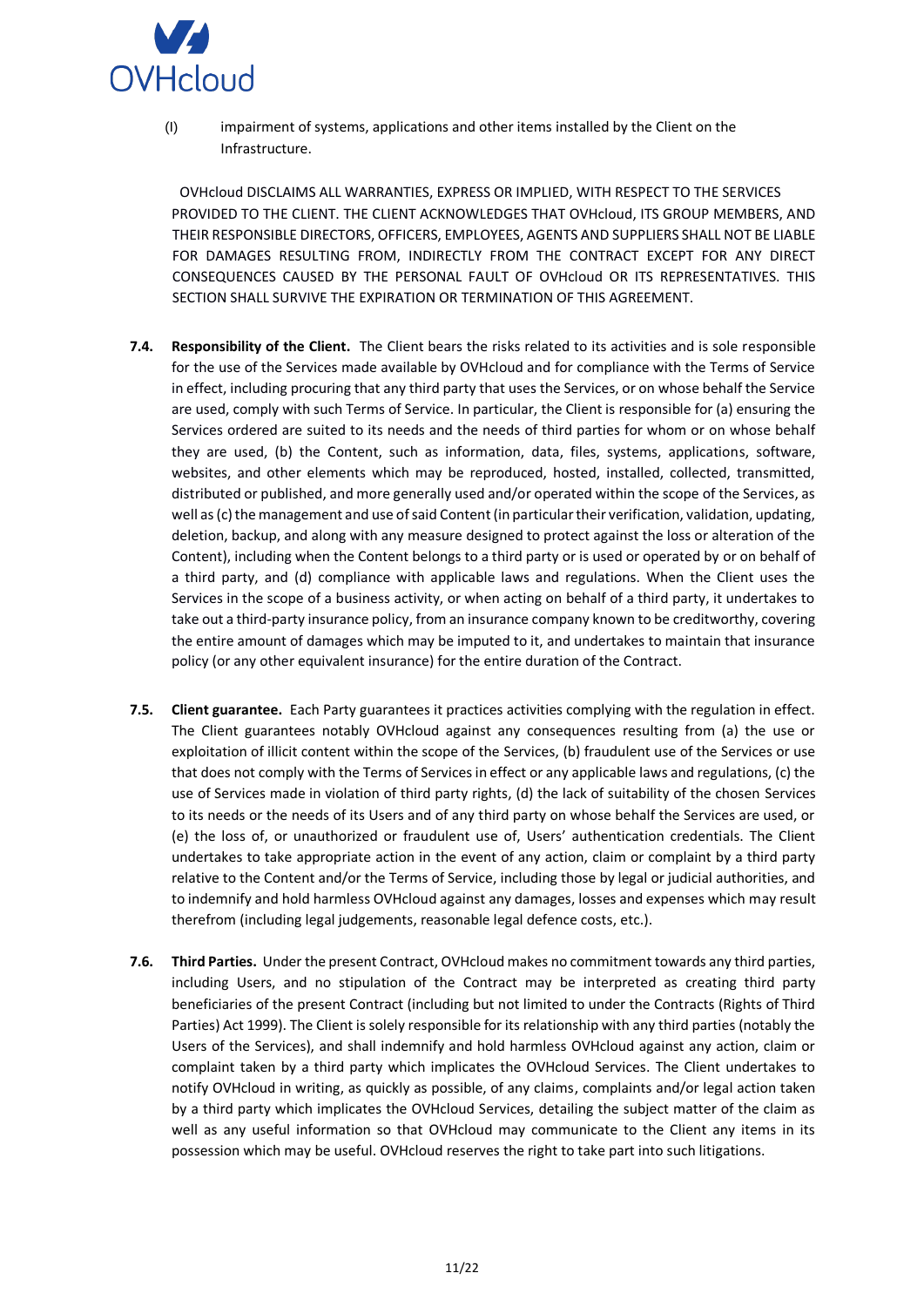

(I) impairment of systems, applications and other items installed by the Client on the Infrastructure.

OVHcloud DISCLAIMS ALL WARRANTIES, EXPRESS OR IMPLIED, WITH RESPECT TO THE SERVICES PROVIDED TO THE CLIENT. THE CLIENT ACKNOWLEDGES THAT OVHcloud, ITS GROUP MEMBERS, AND THEIR RESPONSIBLE DIRECTORS, OFFICERS, EMPLOYEES, AGENTS AND SUPPLIERS SHALL NOT BE LIABLE FOR DAMAGES RESULTING FROM, INDIRECTLY FROM THE CONTRACT EXCEPT FOR ANY DIRECT CONSEQUENCES CAUSED BY THE PERSONAL FAULT OF OVHcloud OR ITS REPRESENTATIVES. THIS SECTION SHALL SURVIVE THE EXPIRATION OR TERMINATION OF THIS AGREEMENT.

- **7.4. Responsibility of the Client.** The Client bears the risks related to its activities and is sole responsible for the use of the Services made available by OVHcloud and for compliance with the Terms of Service in effect, including procuring that any third party that uses the Services, or on whose behalf the Service are used, comply with such Terms of Service. In particular, the Client is responsible for (a) ensuring the Services ordered are suited to its needs and the needs of third parties for whom or on whose behalf they are used, (b) the Content, such as information, data, files, systems, applications, software, websites, and other elements which may be reproduced, hosted, installed, collected, transmitted, distributed or published, and more generally used and/or operated within the scope of the Services, as well as (c) the management and use of said Content (in particular their verification, validation, updating, deletion, backup, and along with any measure designed to protect against the loss or alteration of the Content), including when the Content belongs to a third party or is used or operated by or on behalf of a third party, and (d) compliance with applicable laws and regulations. When the Client uses the Services in the scope of a business activity, or when acting on behalf of a third party, it undertakes to take out a third-party insurance policy, from an insurance company known to be creditworthy, covering the entire amount of damages which may be imputed to it, and undertakes to maintain that insurance policy (or any other equivalent insurance) for the entire duration of the Contract.
- **7.5. Client guarantee.** Each Party guarantees it practices activities complying with the regulation in effect. The Client guarantees notably OVHcloud against any consequences resulting from (a) the use or exploitation of illicit content within the scope of the Services, (b) fraudulent use of the Services or use that does not comply with the Terms of Services in effect or any applicable laws and regulations, (c) the use of Services made in violation of third party rights, (d) the lack of suitability of the chosen Services to its needs or the needs of its Users and of any third party on whose behalf the Services are used, or (e) the loss of, or unauthorized or fraudulent use of, Users' authentication credentials. The Client undertakes to take appropriate action in the event of any action, claim or complaint by a third party relative to the Content and/or the Terms of Service, including those by legal or judicial authorities, and to indemnify and hold harmless OVHcloud against any damages, losses and expenses which may result therefrom (including legal judgements, reasonable legal defence costs, etc.).
- **7.6. Third Parties.** Under the present Contract, OVHcloud makes no commitment towards any third parties, including Users, and no stipulation of the Contract may be interpreted as creating third party beneficiaries of the present Contract (including but not limited to under the Contracts (Rights of Third Parties) Act 1999). The Client is solely responsible for its relationship with any third parties (notably the Users of the Services), and shall indemnify and hold harmless OVHcloud against any action, claim or complaint taken by a third party which implicates the OVHcloud Services. The Client undertakes to notify OVHcloud in writing, as quickly as possible, of any claims, complaints and/or legal action taken by a third party which implicates the OVHcloud Services, detailing the subject matter of the claim as well as any useful information so that OVHcloud may communicate to the Client any items in its possession which may be useful. OVHcloud reserves the right to take part into such litigations.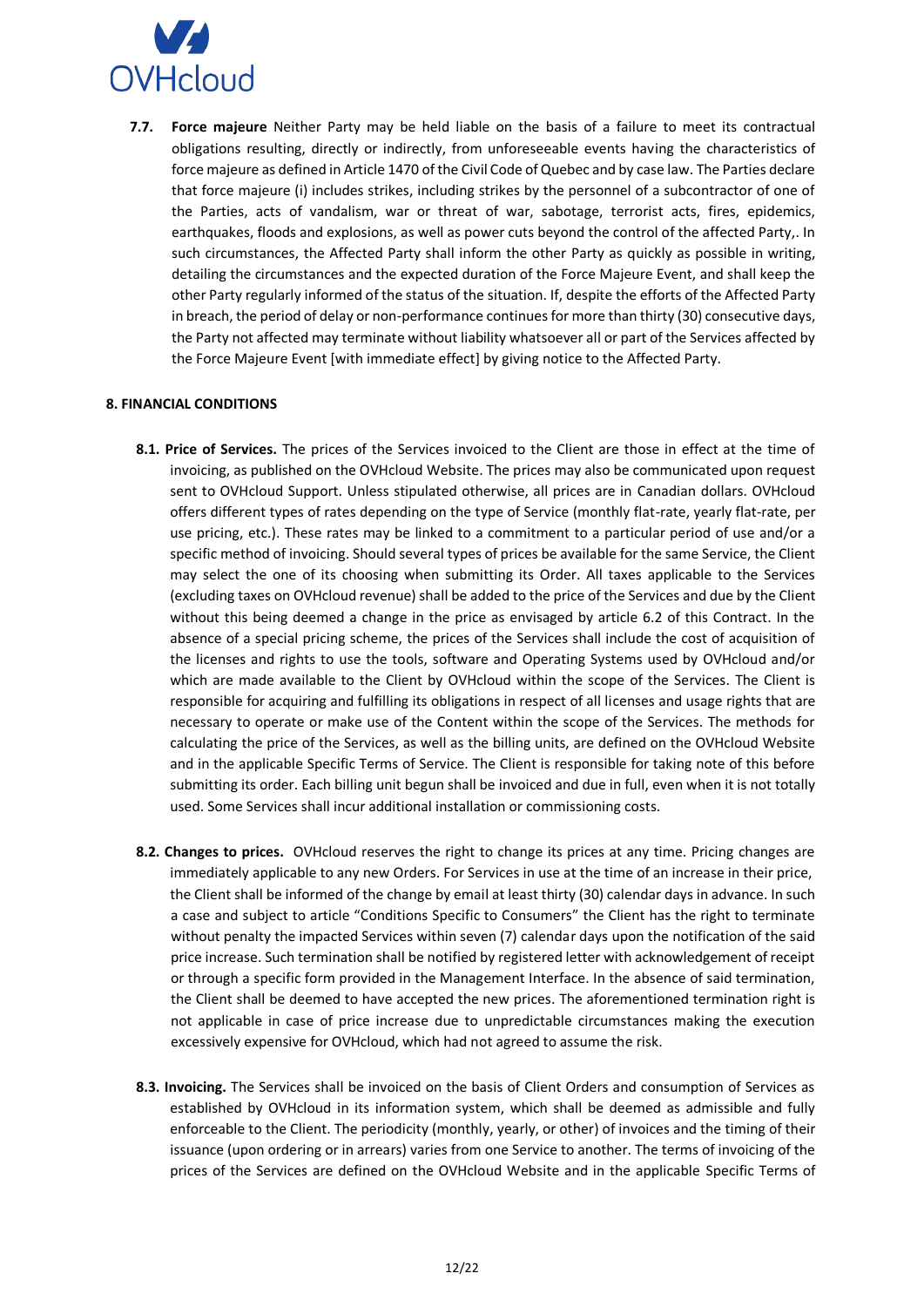

**7.7. Force majeure** Neither Party may be held liable on the basis of a failure to meet its contractual obligations resulting, directly or indirectly, from unforeseeable events having the characteristics of force majeure as defined in Article 1470 of the Civil Code of Quebec and by case law. The Parties declare that force majeure (i) includes strikes, including strikes by the personnel of a subcontractor of one of the Parties, acts of vandalism, war or threat of war, sabotage, terrorist acts, fires, epidemics, earthquakes, floods and explosions, as well as power cuts beyond the control of the affected Party,. In such circumstances, the Affected Party shall inform the other Party as quickly as possible in writing, detailing the circumstances and the expected duration of the Force Majeure Event, and shall keep the other Party regularly informed of the status of the situation. If, despite the efforts of the Affected Party in breach, the period of delay or non-performance continues for more than thirty (30) consecutive days, the Party not affected may terminate without liability whatsoever all or part of the Services affected by the Force Majeure Event [with immediate effect] by giving notice to the Affected Party.

## **8. FINANCIAL CONDITIONS**

- **8.1. Price of Services.** The prices of the Services invoiced to the Client are those in effect at the time of invoicing, as published on the OVHcloud Website. The prices may also be communicated upon request sent to OVHcloud Support. Unless stipulated otherwise, all prices are in Canadian dollars. OVHcloud offers different types of rates depending on the type of Service (monthly flat-rate, yearly flat-rate, per use pricing, etc.). These rates may be linked to a commitment to a particular period of use and/or a specific method of invoicing. Should several types of prices be available for the same Service, the Client may select the one of its choosing when submitting its Order. All taxes applicable to the Services (excluding taxes on OVHcloud revenue) shall be added to the price of the Services and due by the Client without this being deemed a change in the price as envisaged by article 6.2 of this Contract. In the absence of a special pricing scheme, the prices of the Services shall include the cost of acquisition of the licenses and rights to use the tools, software and Operating Systems used by OVHcloud and/or which are made available to the Client by OVHcloud within the scope of the Services. The Client is responsible for acquiring and fulfilling its obligations in respect of all licenses and usage rights that are necessary to operate or make use of the Content within the scope of the Services. The methods for calculating the price of the Services, as well as the billing units, are defined on the OVHcloud Website and in the applicable Specific Terms of Service. The Client is responsible for taking note of this before submitting its order. Each billing unit begun shall be invoiced and due in full, even when it is not totally used. Some Services shall incur additional installation or commissioning costs.
- **8.2. Changes to prices.** OVHcloud reserves the right to change its prices at any time. Pricing changes are immediately applicable to any new Orders. For Services in use at the time of an increase in their price, the Client shall be informed of the change by email at least thirty (30) calendar days in advance. In such a case and subject to article "Conditions Specific to Consumers" the Client has the right to terminate without penalty the impacted Services within seven (7) calendar days upon the notification of the said price increase. Such termination shall be notified by registered letter with acknowledgement of receipt or through a specific form provided in the Management Interface. In the absence of said termination, the Client shall be deemed to have accepted the new prices. The aforementioned termination right is not applicable in case of price increase due to unpredictable circumstances making the execution excessively expensive for OVHcloud, which had not agreed to assume the risk.
- **8.3. Invoicing.** The Services shall be invoiced on the basis of Client Orders and consumption of Services as established by OVHcloud in its information system, which shall be deemed as admissible and fully enforceable to the Client. The periodicity (monthly, yearly, or other) of invoices and the timing of their issuance (upon ordering or in arrears) varies from one Service to another. The terms of invoicing of the prices of the Services are defined on the OVHcloud Website and in the applicable Specific Terms of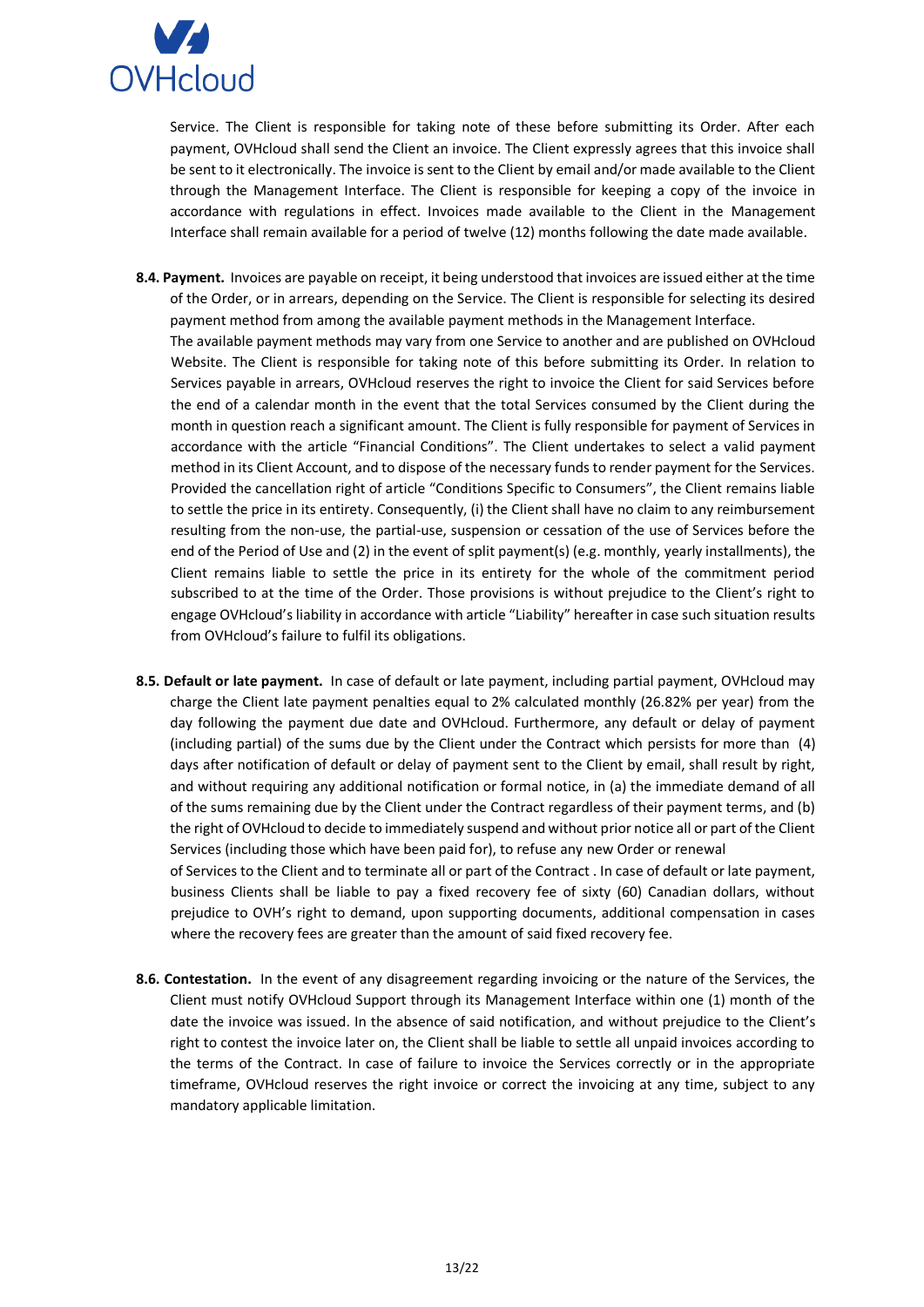

Service. The Client is responsible for taking note of these before submitting its Order. After each payment, OVHcloud shall send the Client an invoice. The Client expressly agrees that this invoice shall be sent to it electronically. The invoice is sent to the Client by email and/or made available to the Client through the Management Interface. The Client is responsible for keeping a copy of the invoice in accordance with regulations in effect. Invoices made available to the Client in the Management Interface shall remain available for a period of twelve (12) months following the date made available.

- **8.4. Payment.** Invoices are payable on receipt, it being understood that invoices are issued either at the time of the Order, or in arrears, depending on the Service. The Client is responsible for selecting its desired payment method from among the available payment methods in the Management Interface. The available payment methods may vary from one Service to another and are published on OVHcloud Website. The Client is responsible for taking note of this before submitting its Order. In relation to Services payable in arrears, OVHcloud reserves the right to invoice the Client for said Services before the end of a calendar month in the event that the total Services consumed by the Client during the month in question reach a significant amount. The Client is fully responsible for payment of Services in accordance with the article "Financial Conditions". The Client undertakes to select a valid payment method in its Client Account, and to dispose of the necessary funds to render payment for the Services. Provided the cancellation right of article "Conditions Specific to Consumers", the Client remains liable to settle the price in its entirety. Consequently, (i) the Client shall have no claim to any reimbursement resulting from the non-use, the partial-use, suspension or cessation of the use of Services before the end of the Period of Use and (2) in the event of split payment(s) (e.g. monthly, yearly installments), the Client remains liable to settle the price in its entirety for the whole of the commitment period subscribed to at the time of the Order. Those provisions is without prejudice to the Client's right to engage OVHcloud's liability in accordance with article "Liability" hereafter in case such situation results from OVHcloud's failure to fulfil its obligations.
- **8.5. Default or late payment.** In case of default or late payment, including partial payment, OVHcloud may charge the Client late payment penalties equal to 2% calculated monthly (26.82% per year) from the day following the payment due date and OVHcloud. Furthermore, any default or delay of payment (including partial) of the sums due by the Client under the Contract which persists for more than (4) days after notification of default or delay of payment sent to the Client by email, shall result by right, and without requiring any additional notification or formal notice, in (a) the immediate demand of all of the sums remaining due by the Client under the Contract regardless of their payment terms, and (b) the right of OVHcloud to decide to immediately suspend and without prior notice all or part of the Client Services (including those which have been paid for), to refuse any new Order or renewal of Services to the Client and to terminate all or part of the Contract . In case of default or late payment, business Clients shall be liable to pay a fixed recovery fee of sixty (60) Canadian dollars, without prejudice to OVH's right to demand, upon supporting documents, additional compensation in cases where the recovery fees are greater than the amount of said fixed recovery fee.
- **8.6. Contestation.** In the event of any disagreement regarding invoicing or the nature of the Services, the Client must notify OVHcloud Support through its Management Interface within one (1) month of the date the invoice was issued. In the absence of said notification, and without prejudice to the Client's right to contest the invoice later on, the Client shall be liable to settle all unpaid invoices according to the terms of the Contract. In case of failure to invoice the Services correctly or in the appropriate timeframe, OVHcloud reserves the right invoice or correct the invoicing at any time, subject to any mandatory applicable limitation.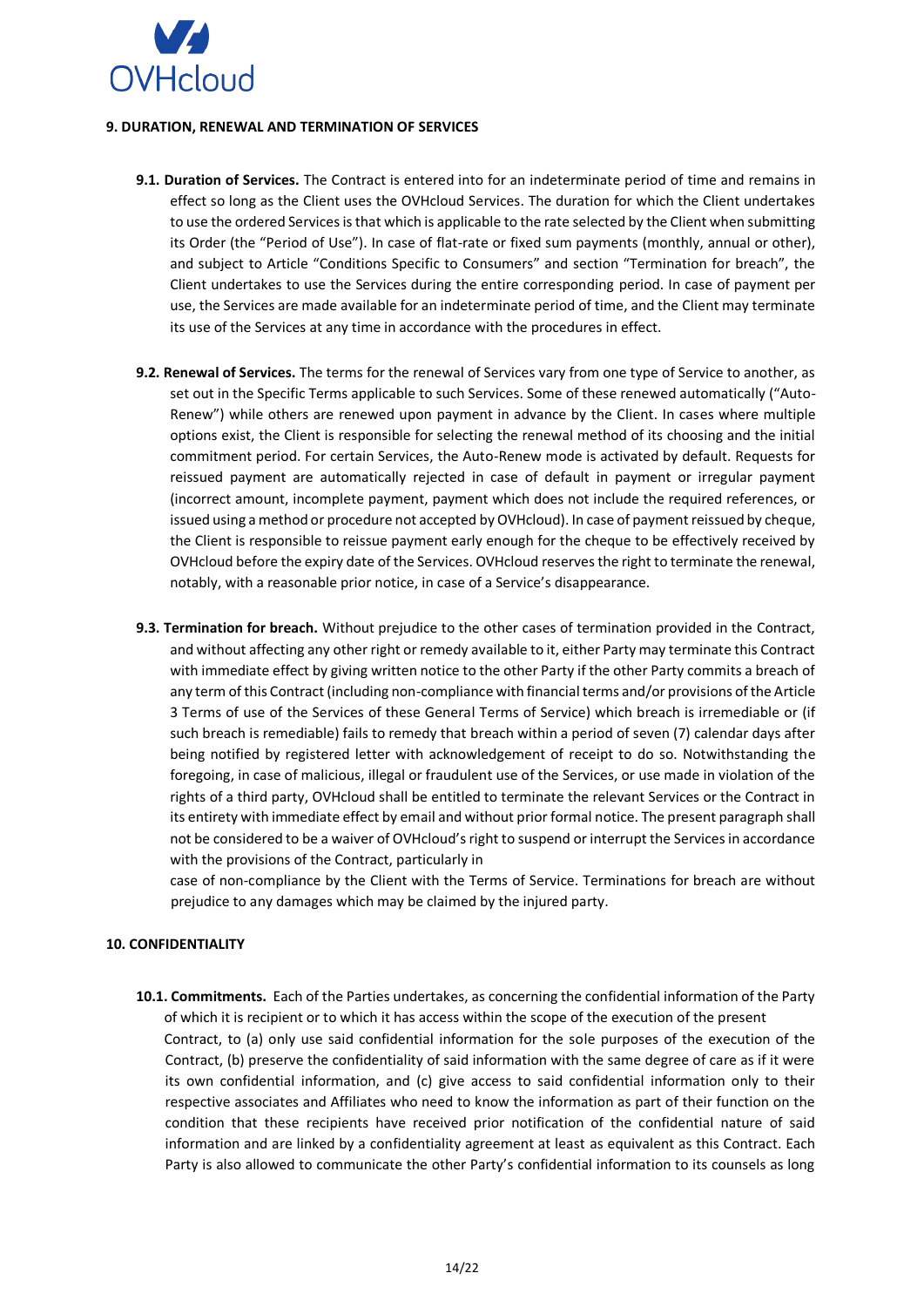

### <span id="page-13-0"></span>**9. DURATION, RENEWAL AND TERMINATION OF SERVICES**

- **9.1. Duration of Services.** The Contract is entered into for an indeterminate period of time and remains in effect so long as the Client uses the OVHcloud Services. The duration for which the Client undertakes to use the ordered Services is that which is applicable to the rate selected by the Client when submitting its Order (the "Period of Use"). In case of flat-rate or fixed sum payments (monthly, annual or other), and subject to Article "Conditions Specific to Consumers" and section "Termination for breach", the Client undertakes to use the Services during the entire corresponding period. In case of payment per use, the Services are made available for an indeterminate period of time, and the Client may terminate its use of the Services at any time in accordance with the procedures in effect.
- **9.2. Renewal of Services.** The terms for the renewal of Services vary from one type of Service to another, as set out in the Specific Terms applicable to such Services. Some of these renewed automatically ("Auto-Renew") while others are renewed upon payment in advance by the Client. In cases where multiple options exist, the Client is responsible for selecting the renewal method of its choosing and the initial commitment period. For certain Services, the Auto-Renew mode is activated by default. Requests for reissued payment are automatically rejected in case of default in payment or irregular payment (incorrect amount, incomplete payment, payment which does not include the required references, or issued using a method or procedure not accepted by OVHcloud). In case of payment reissued by cheque, the Client is responsible to reissue payment early enough for the cheque to be effectively received by OVHcloud before the expiry date of the Services. OVHcloud reserves the right to terminate the renewal, notably, with a reasonable prior notice, in case of a Service's disappearance.
- **9.3. Termination for breach.** Without prejudice to the other cases of termination provided in the Contract, and without affecting any other right or remedy available to it, either Party may terminate this Contract with immediate effect by giving written notice to the other Party if the other Party commits a breach of any term of this Contract (including non-compliance with financial terms and/or provisions of the Article 3 Terms of use of the Services of these General Terms of Service) which breach is irremediable or (if such breach is remediable) fails to remedy that breach within a period of seven (7) calendar days after being notified by registered letter with acknowledgement of receipt to do so. Notwithstanding the foregoing, in case of malicious, illegal or fraudulent use of the Services, or use made in violation of the rights of a third party, OVHcloud shall be entitled to terminate the relevant Services or the Contract in its entirety with immediate effect by email and without prior formal notice. The present paragraph shall not be considered to be a waiver of OVHcloud's right to suspend or interrupt the Services in accordance with the provisions of the Contract, particularly in

case of non-compliance by the Client with the Terms of Service. Terminations for breach are without prejudice to any damages which may be claimed by the injured party.

### <span id="page-13-1"></span>**10. CONFIDENTIALITY**

**10.1. Commitments.** Each of the Parties undertakes, as concerning the confidential information of the Party of which it is recipient or to which it has access within the scope of the execution of the present Contract, to (a) only use said confidential information for the sole purposes of the execution of the Contract, (b) preserve the confidentiality of said information with the same degree of care as if it were its own confidential information, and (c) give access to said confidential information only to their respective associates and Affiliates who need to know the information as part of their function on the condition that these recipients have received prior notification of the confidential nature of said information and are linked by a confidentiality agreement at least as equivalent as this Contract. Each Party is also allowed to communicate the other Party's confidential information to its counsels as long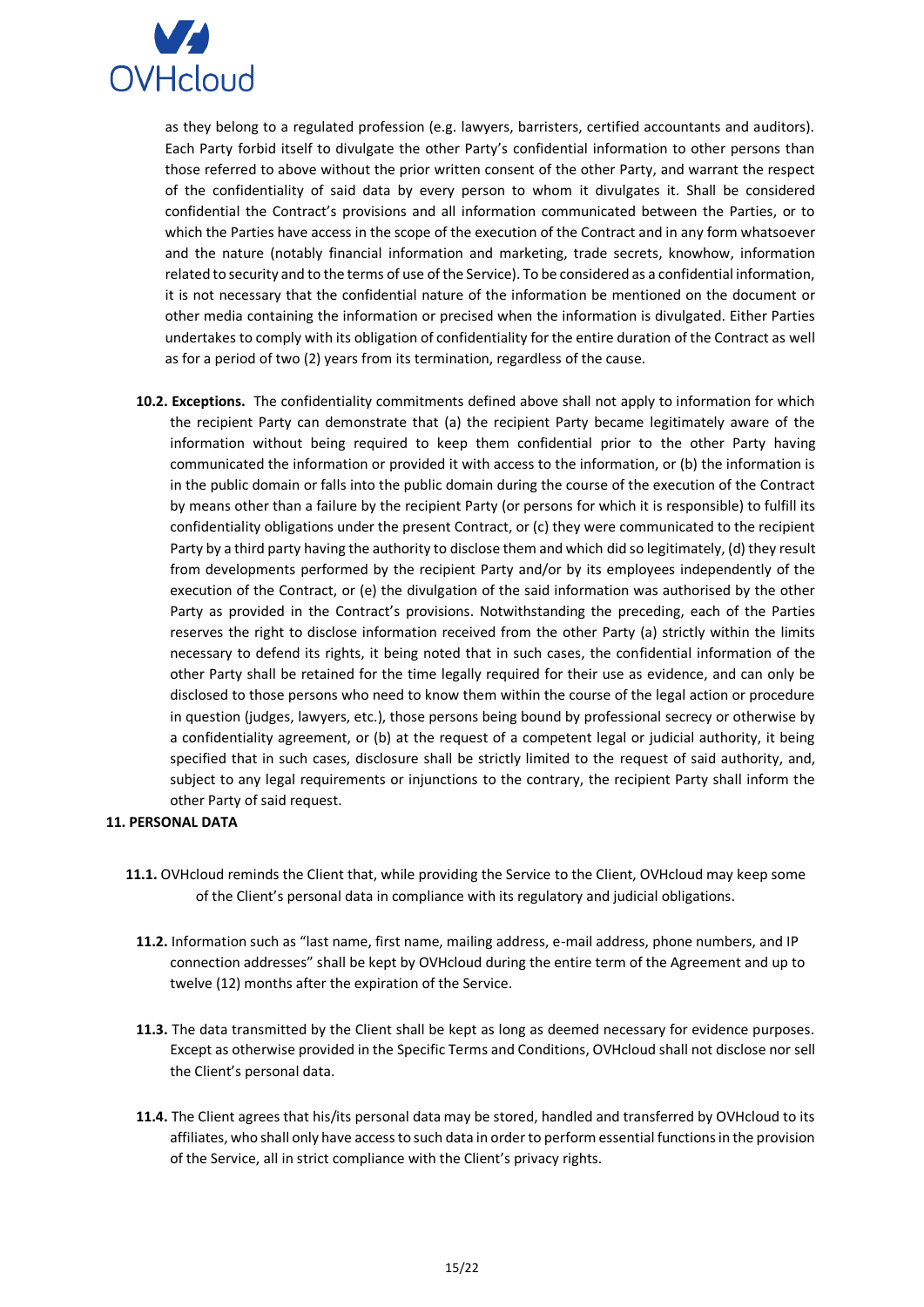

as they belong to a regulated profession (e.g. lawyers, barristers, certified accountants and auditors). Each Party forbid itself to divulgate the other Party's confidential information to other persons than those referred to above without the prior written consent of the other Party, and warrant the respect of the confidentiality of said data by every person to whom it divulgates it. Shall be considered confidential the Contract's provisions and all information communicated between the Parties, or to which the Parties have access in the scope of the execution of the Contract and in any form whatsoever and the nature (notably financial information and marketing, trade secrets, knowhow, information related to security and to the terms of use of the Service). To be considered as a confidential information, it is not necessary that the confidential nature of the information be mentioned on the document or other media containing the information or precised when the information is divulgated. Either Parties undertakes to comply with its obligation of confidentiality for the entire duration of the Contract as well as for a period of two (2) years from its termination, regardless of the cause.

**10.2. Exceptions.** The confidentiality commitments defined above shall not apply to information for which the recipient Party can demonstrate that (a) the recipient Party became legitimately aware of the information without being required to keep them confidential prior to the other Party having communicated the information or provided it with access to the information, or (b) the information is in the public domain or falls into the public domain during the course of the execution of the Contract by means other than a failure by the recipient Party (or persons for which it is responsible) to fulfill its confidentiality obligations under the present Contract, or (c) they were communicated to the recipient Party by a third party having the authority to disclose them and which did so legitimately, (d) they result from developments performed by the recipient Party and/or by its employees independently of the execution of the Contract, or (e) the divulgation of the said information was authorised by the other Party as provided in the Contract's provisions. Notwithstanding the preceding, each of the Parties reserves the right to disclose information received from the other Party (a) strictly within the limits necessary to defend its rights, it being noted that in such cases, the confidential information of the other Party shall be retained for the time legally required for their use as evidence, and can only be disclosed to those persons who need to know them within the course of the legal action or procedure in question (judges, lawyers, etc.), those persons being bound by professional secrecy or otherwise by a confidentiality agreement, or (b) at the request of a competent legal or judicial authority, it being specified that in such cases, disclosure shall be strictly limited to the request of said authority, and, subject to any legal requirements or injunctions to the contrary, the recipient Party shall inform the other Party of said request.

## <span id="page-14-0"></span>**11. PERSONAL DATA**

- **11.1.** OVHcloud reminds the Client that, while providing the Service to the Client, OVHcloud may keep some of the Client's personal data in compliance with its regulatory and judicial obligations.
	- **11.2.** Information such as "last name, first name, mailing address, e-mail address, phone numbers, and IP connection addresses" shall be kept by OVHcloud during the entire term of the Agreement and up to twelve (12) months after the expiration of the Service.
	- **11.3.** The data transmitted by the Client shall be kept as long as deemed necessary for evidence purposes. Except as otherwise provided in the Specific Terms and Conditions, OVHcloud shall not disclose nor sell the Client's personal data.
	- **11.4.** The Client agrees that his/its personal data may be stored, handled and transferred by OVHcloud to its affiliates, who shall only have access to such data in order to perform essential functions in the provision of the Service, all in strict compliance with the Client's privacy rights.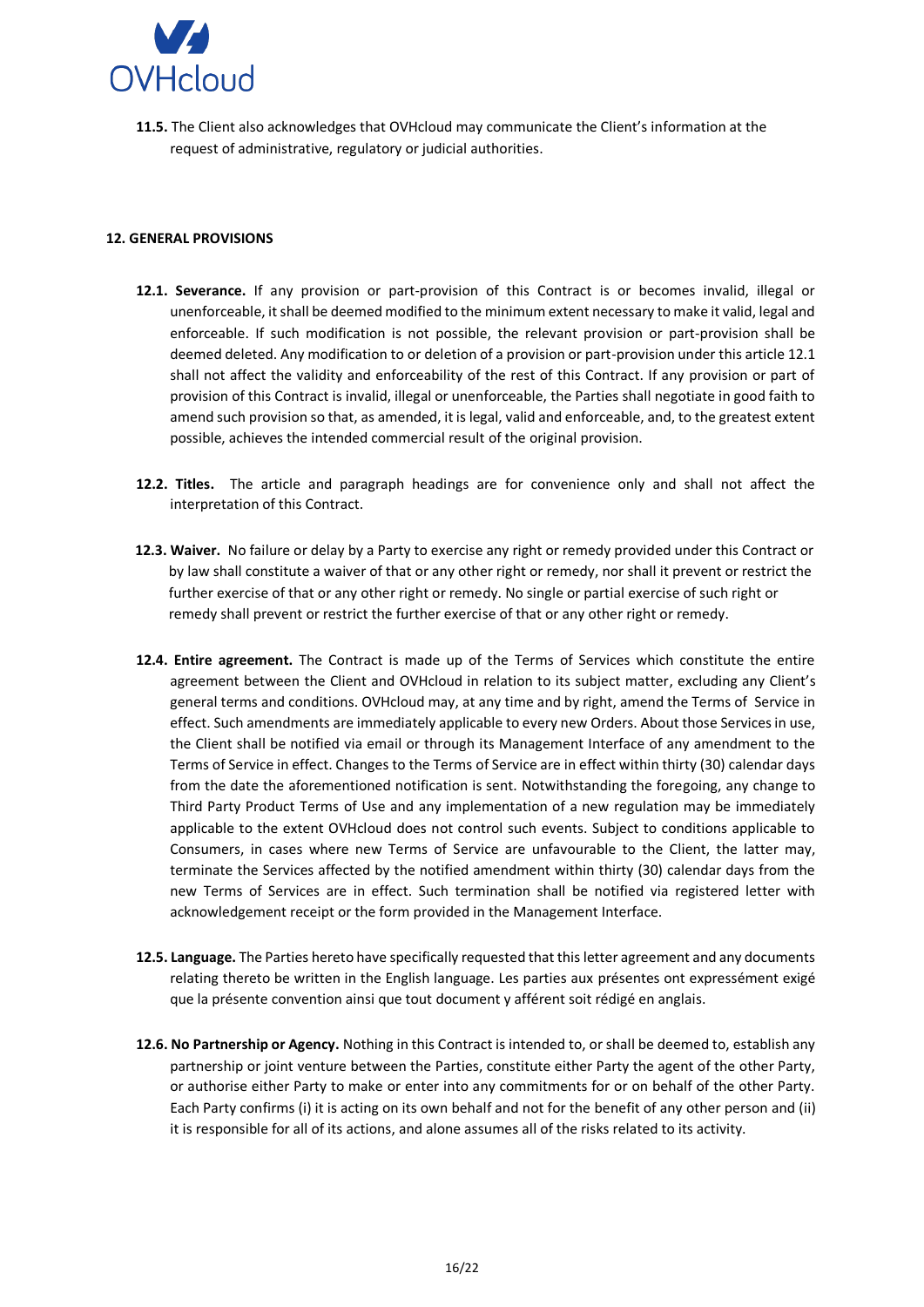

**11.5.** The Client also acknowledges that OVHcloud may communicate the Client's information at the request of administrative, regulatory or judicial authorities.

### <span id="page-15-0"></span>**12. GENERAL PROVISIONS**

- **12.1. Severance.** If any provision or part-provision of this Contract is or becomes invalid, illegal or unenforceable, it shall be deemed modified to the minimum extent necessary to make it valid, legal and enforceable. If such modification is not possible, the relevant provision or part-provision shall be deemed deleted. Any modification to or deletion of a provision or part-provision under this article 12.1 shall not affect the validity and enforceability of the rest of this Contract. If any provision or part of provision of this Contract is invalid, illegal or unenforceable, the Parties shall negotiate in good faith to amend such provision so that, as amended, it is legal, valid and enforceable, and, to the greatest extent possible, achieves the intended commercial result of the original provision.
- **12.2. Titles.** The article and paragraph headings are for convenience only and shall not affect the interpretation of this Contract.
- **12.3. Waiver.** No failure or delay by a Party to exercise any right or remedy provided under this Contract or by law shall constitute a waiver of that or any other right or remedy, nor shall it prevent or restrict the further exercise of that or any other right or remedy. No single or partial exercise of such right or remedy shall prevent or restrict the further exercise of that or any other right or remedy.
- **12.4. Entire agreement.** The Contract is made up of the Terms of Services which constitute the entire agreement between the Client and OVHcloud in relation to its subject matter, excluding any Client's general terms and conditions. OVHcloud may, at any time and by right, amend the Terms of Service in effect. Such amendments are immediately applicable to every new Orders. About those Services in use, the Client shall be notified via email or through its Management Interface of any amendment to the Terms of Service in effect. Changes to the Terms of Service are in effect within thirty (30) calendar days from the date the aforementioned notification is sent. Notwithstanding the foregoing, any change to Third Party Product Terms of Use and any implementation of a new regulation may be immediately applicable to the extent OVHcloud does not control such events. Subject to conditions applicable to Consumers, in cases where new Terms of Service are unfavourable to the Client, the latter may, terminate the Services affected by the notified amendment within thirty (30) calendar days from the new Terms of Services are in effect. Such termination shall be notified via registered letter with acknowledgement receipt or the form provided in the Management Interface.
- **12.5. Language.** The Parties hereto have specifically requested that this letter agreement and any documents relating thereto be written in the English language. Les parties aux présentes ont expressément exigé que la présente convention ainsi que tout document y afférent soit rédigé en anglais.
- **12.6. No Partnership or Agency.** Nothing in this Contract is intended to, or shall be deemed to, establish any partnership or joint venture between the Parties, constitute either Party the agent of the other Party, or authorise either Party to make or enter into any commitments for or on behalf of the other Party. Each Party confirms (i) it is acting on its own behalf and not for the benefit of any other person and (ii) it is responsible for all of its actions, and alone assumes all of the risks related to its activity.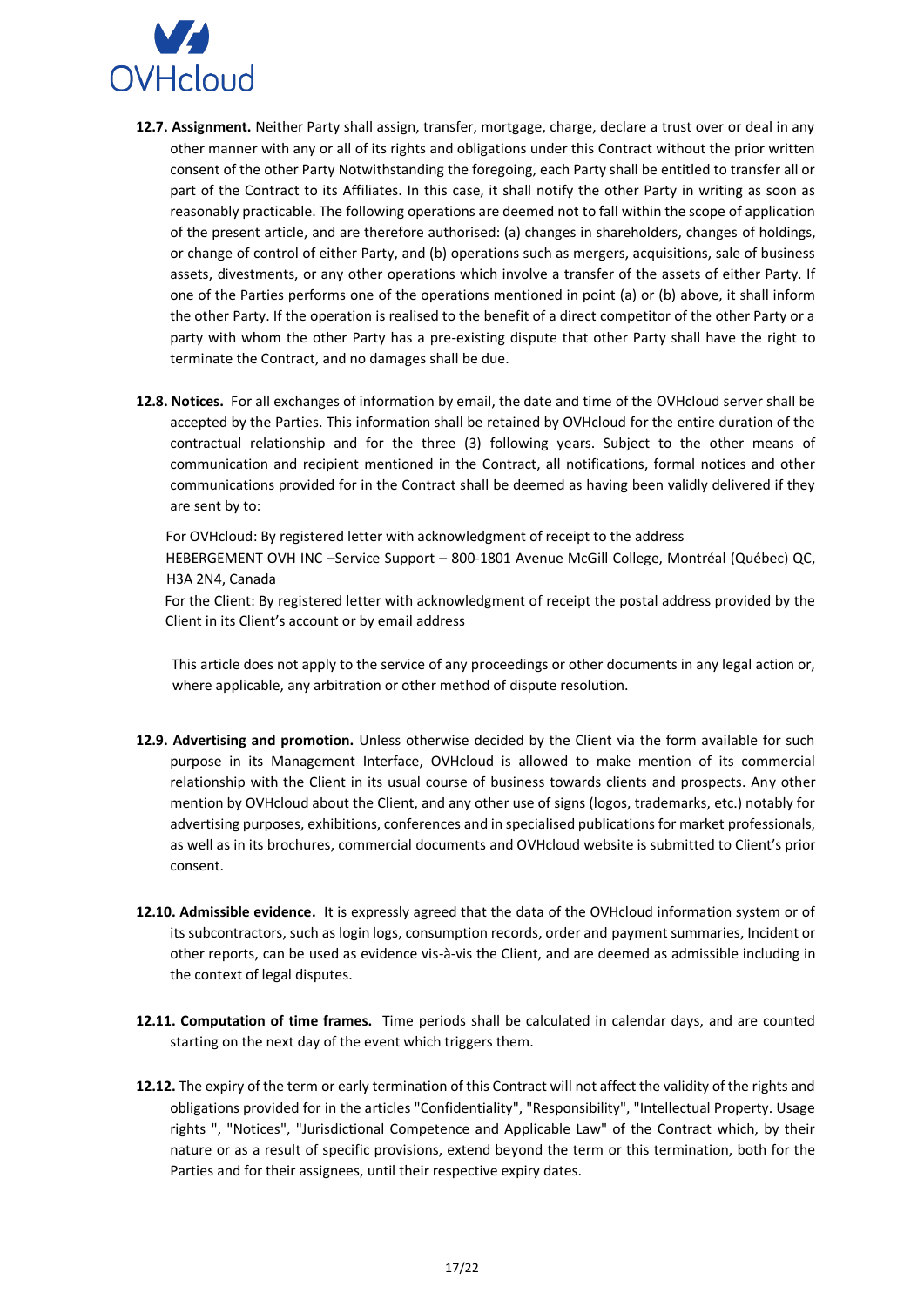

- **12.7. Assignment.** Neither Party shall assign, transfer, mortgage, charge, declare a trust over or deal in any other manner with any or all of its rights and obligations under this Contract without the prior written consent of the other Party Notwithstanding the foregoing, each Party shall be entitled to transfer all or part of the Contract to its Affiliates. In this case, it shall notify the other Party in writing as soon as reasonably practicable. The following operations are deemed not to fall within the scope of application of the present article, and are therefore authorised: (a) changes in shareholders, changes of holdings, or change of control of either Party, and (b) operations such as mergers, acquisitions, sale of business assets, divestments, or any other operations which involve a transfer of the assets of either Party. If one of the Parties performs one of the operations mentioned in point (a) or (b) above, it shall inform the other Party. If the operation is realised to the benefit of a direct competitor of the other Party or a party with whom the other Party has a pre-existing dispute that other Party shall have the right to terminate the Contract, and no damages shall be due.
- **12.8. Notices.** For all exchanges of information by email, the date and time of the OVHcloud server shall be accepted by the Parties. This information shall be retained by OVHcloud for the entire duration of the contractual relationship and for the three (3) following years. Subject to the other means of communication and recipient mentioned in the Contract, all notifications, formal notices and other communications provided for in the Contract shall be deemed as having been validly delivered if they are sent by to:

For OVHcloud: By registered letter with acknowledgment of receipt to the address

HEBERGEMENT OVH INC –Service Support – 800-1801 Avenue McGill College, Montréal (Québec) QC, H3A 2N4, Canada

For the Client: By registered letter with acknowledgment of receipt the postal address provided by the Client in its Client's account or by email address

This article does not apply to the service of any proceedings or other documents in any legal action or, where applicable, any arbitration or other method of dispute resolution.

- **12.9. Advertising and promotion.** Unless otherwise decided by the Client via the form available for such purpose in its Management Interface, OVHcloud is allowed to make mention of its commercial relationship with the Client in its usual course of business towards clients and prospects. Any other mention by OVHcloud about the Client, and any other use of signs (logos, trademarks, etc.) notably for advertising purposes, exhibitions, conferences and in specialised publications for market professionals, as well as in its brochures, commercial documents and OVHcloud website is submitted to Client's prior consent.
- **12.10. Admissible evidence.** It is expressly agreed that the data of the OVHcloud information system or of its subcontractors, such as login logs, consumption records, order and payment summaries, Incident or other reports, can be used as evidence vis-à-vis the Client, and are deemed as admissible including in the context of legal disputes.
- **12.11. Computation of time frames.** Time periods shall be calculated in calendar days, and are counted starting on the next day of the event which triggers them.
- **12.12.** The expiry of the term or early termination of this Contract will not affect the validity of the rights and obligations provided for in the articles "Confidentiality", "Responsibility", "Intellectual Property. Usage rights ", "Notices", "Jurisdictional Competence and Applicable Law" of the Contract which, by their nature or as a result of specific provisions, extend beyond the term or this termination, both for the Parties and for their assignees, until their respective expiry dates.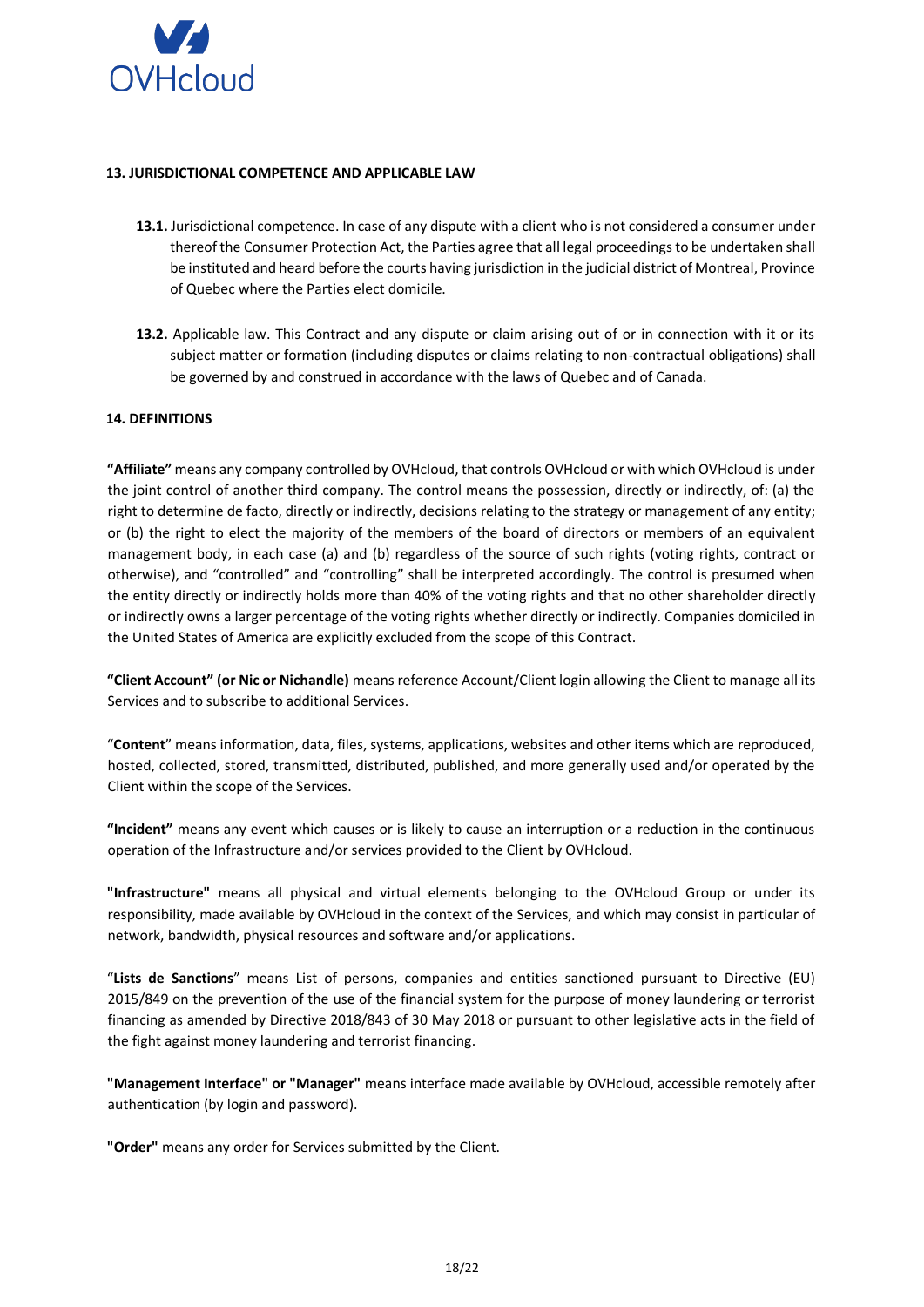

### <span id="page-17-0"></span>**13. JURISDICTIONAL COMPETENCE AND APPLICABLE LAW**

- **13.1.** Jurisdictional competence. In case of any dispute with a client who is not considered a consumer under thereof the Consumer Protection Act, the Parties agree that all legal proceedings to be undertaken shall be instituted and heard before the courts having jurisdiction in the judicial district of Montreal, Province of Quebec where the Parties elect domicile.
- **13.2.** Applicable law. This Contract and any dispute or claim arising out of or in connection with it or its subject matter or formation (including disputes or claims relating to non-contractual obligations) shall be governed by and construed in accordance with the laws of Quebec and of Canada.

### <span id="page-17-1"></span>**14. DEFINITIONS**

**"Affiliate"** means any company controlled by OVHcloud, that controls OVHcloud or with which OVHcloud is under the joint control of another third company. The control means the possession, directly or indirectly, of: (a) the right to determine de facto, directly or indirectly, decisions relating to the strategy or management of any entity; or (b) the right to elect the majority of the members of the board of directors or members of an equivalent management body, in each case (a) and (b) regardless of the source of such rights (voting rights, contract or otherwise), and "controlled" and "controlling" shall be interpreted accordingly. The control is presumed when the entity directly or indirectly holds more than 40% of the voting rights and that no other shareholder directly or indirectly owns a larger percentage of the voting rights whether directly or indirectly. Companies domiciled in the United States of America are explicitly excluded from the scope of this Contract.

**"Client Account" (or Nic or Nichandle)** means reference Account/Client login allowing the Client to manage all its Services and to subscribe to additional Services.

"**Content**" means information, data, files, systems, applications, websites and other items which are reproduced, hosted, collected, stored, transmitted, distributed, published, and more generally used and/or operated by the Client within the scope of the Services.

**"Incident"** means any event which causes or is likely to cause an interruption or a reduction in the continuous operation of the Infrastructure and/or services provided to the Client by OVHcloud.

**"Infrastructure"** means all physical and virtual elements belonging to the OVHcloud Group or under its responsibility, made available by OVHcloud in the context of the Services, and which may consist in particular of network, bandwidth, physical resources and software and/or applications.

"**Lists de Sanctions**" means List of persons, companies and entities sanctioned pursuant to Directive (EU) 2015/849 on the prevention of the use of the financial system for the purpose of money laundering or terrorist financing as amended by Directive 2018/843 of 30 May 2018 or pursuant to other legislative acts in the field of the fight against money laundering and terrorist financing.

**"Management Interface" or "Manager"** means interface made available by OVHcloud, accessible remotely after authentication (by login and password).

**"Order"** means any order for Services submitted by the Client.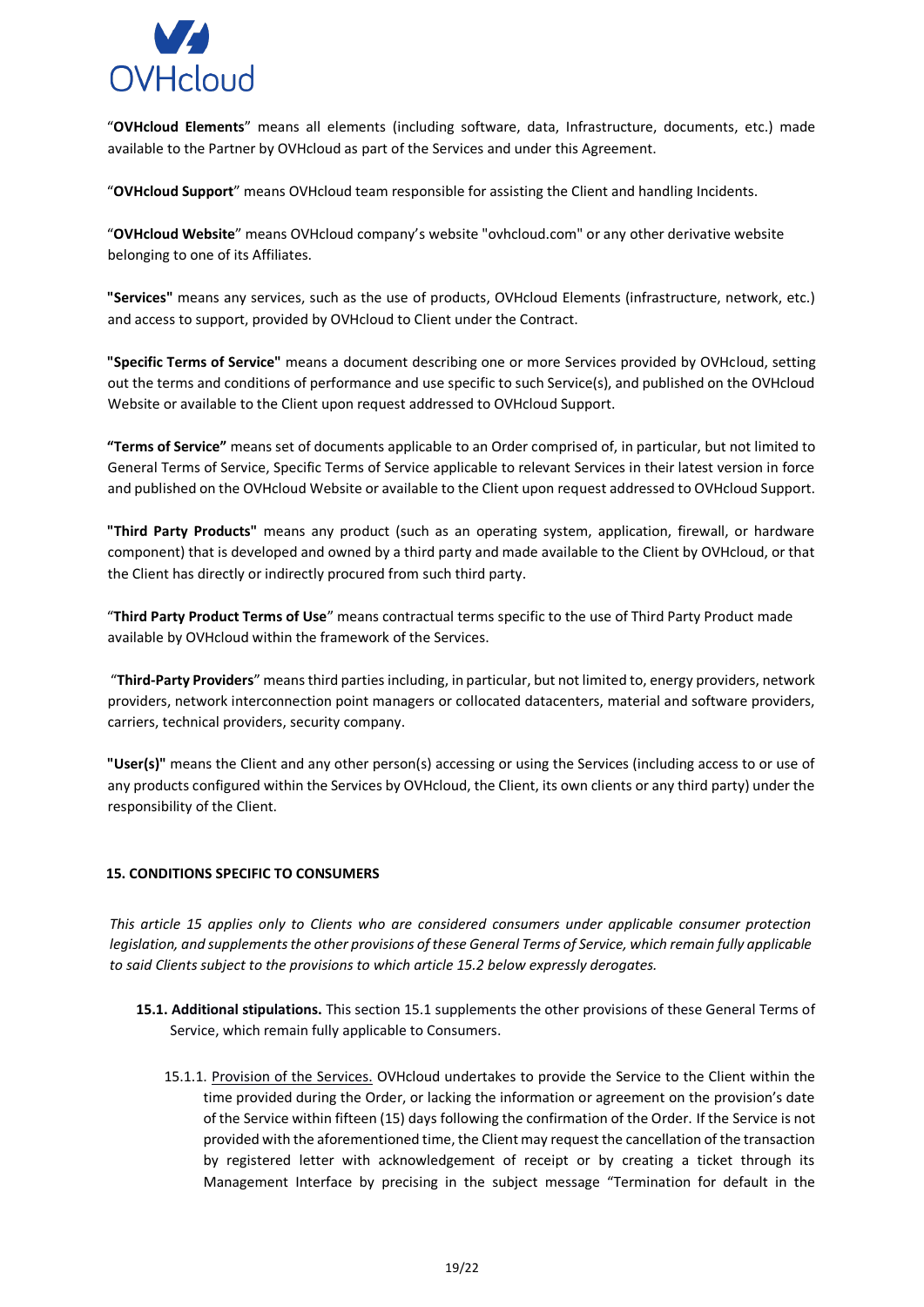

"**OVHcloud Elements**" means all elements (including software, data, Infrastructure, documents, etc.) made available to the Partner by OVHcloud as part of the Services and under this Agreement.

"**OVHcloud Support**" means OVHcloud team responsible for assisting the Client and handling Incidents.

"**OVHcloud Website**" means OVHcloud company's website "ovhcloud.com" or any other derivative website belonging to one of its Affiliates.

**"Services"** means any services, such as the use of products, OVHcloud Elements (infrastructure, network, etc.) and access to support, provided by OVHcloud to Client under the Contract.

**"Specific Terms of Service"** means a document describing one or more Services provided by OVHcloud, setting out the terms and conditions of performance and use specific to such Service(s), and published on the OVHcloud Website or available to the Client upon request addressed to OVHcloud Support.

**"Terms of Service"** means set of documents applicable to an Order comprised of, in particular, but not limited to General Terms of Service, Specific Terms of Service applicable to relevant Services in their latest version in force and published on the OVHcloud Website or available to the Client upon request addressed to OVHcloud Support.

**"Third Party Products"** means any product (such as an operating system, application, firewall, or hardware component) that is developed and owned by a third party and made available to the Client by OVHcloud, or that the Client has directly or indirectly procured from such third party.

"**Third Party Product Terms of Use**" means contractual terms specific to the use of Third Party Product made available by OVHcloud within the framework of the Services.

"**Third-Party Providers**" means third parties including, in particular, but not limited to, energy providers, network providers, network interconnection point managers or collocated datacenters, material and software providers, carriers, technical providers, security company.

**"User(s)"** means the Client and any other person(s) accessing or using the Services (including access to or use of any products configured within the Services by OVHcloud, the Client, its own clients or any third party) under the responsibility of the Client.

# <span id="page-18-0"></span>**15. CONDITIONS SPECIFIC TO CONSUMERS**

*This article 15 applies only to Clients who are considered consumers under applicable consumer protection legislation, and supplements the other provisions of these General Terms of Service, which remain fully applicable to said Clients subject to the provisions to which article 15.2 below expressly derogates.* 

- **15.1. Additional stipulations.** This section 15.1 supplements the other provisions of these General Terms of Service, which remain fully applicable to Consumers.
	- 15.1.1. Provision of the Services. OVHcloud undertakes to provide the Service to the Client within the time provided during the Order, or lacking the information or agreement on the provision's date of the Service within fifteen (15) days following the confirmation of the Order. If the Service is not provided with the aforementioned time, the Client may request the cancellation of the transaction by registered letter with acknowledgement of receipt or by creating a ticket through its Management Interface by precising in the subject message "Termination for default in the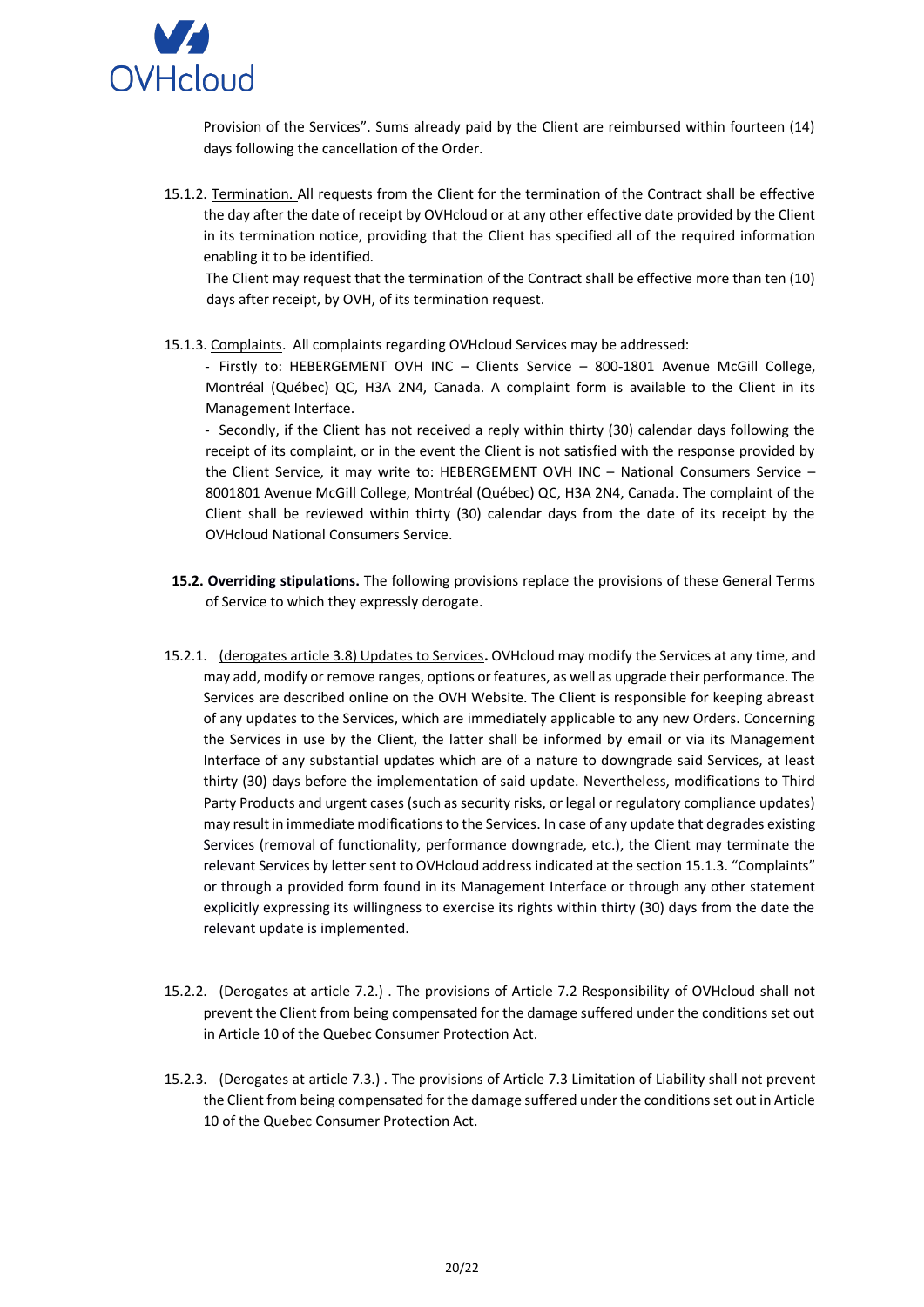

Provision of the Services". Sums already paid by the Client are reimbursed within fourteen (14) days following the cancellation of the Order.

15.1.2. Termination. All requests from the Client for the termination of the Contract shall be effective the day after the date of receipt by OVHcloud or at any other effective date provided by the Client in its termination notice, providing that the Client has specified all of the required information enabling it to be identified.

The Client may request that the termination of the Contract shall be effective more than ten (10) days after receipt, by OVH, of its termination request.

15.1.3. Complaints. All complaints regarding OVHcloud Services may be addressed:

- Firstly to: HEBERGEMENT OVH INC – Clients Service – 800-1801 Avenue McGill College, Montréal (Québec) QC, H3A 2N4, Canada. A complaint form is available to the Client in its Management Interface.

- Secondly, if the Client has not received a reply within thirty (30) calendar days following the receipt of its complaint, or in the event the Client is not satisfied with the response provided by the Client Service, it may write to: HEBERGEMENT OVH INC – National Consumers Service – 8001801 Avenue McGill College, Montréal (Québec) QC, H3A 2N4, Canada. The complaint of the Client shall be reviewed within thirty (30) calendar days from the date of its receipt by the OVHcloud National Consumers Service.

- **15.2. Overriding stipulations.** The following provisions replace the provisions of these General Terms of Service to which they expressly derogate.
- 15.2.1. (derogates article 3.8) Updates to Services**.** OVHcloud may modify the Services at any time, and may add, modify or remove ranges, options or features, as well as upgrade their performance. The Services are described online on the OVH Website. The Client is responsible for keeping abreast of any updates to the Services, which are immediately applicable to any new Orders. Concerning the Services in use by the Client, the latter shall be informed by email or via its Management Interface of any substantial updates which are of a nature to downgrade said Services, at least thirty (30) days before the implementation of said update. Nevertheless, modifications to Third Party Products and urgent cases (such as security risks, or legal or regulatory compliance updates) may result in immediate modifications to the Services. In case of any update that degrades existing Services (removal of functionality, performance downgrade, etc.), the Client may terminate the relevant Services by letter sent to OVHcloud address indicated at the section 15.1.3. "Complaints" or through a provided form found in its Management Interface or through any other statement explicitly expressing its willingness to exercise its rights within thirty (30) days from the date the relevant update is implemented.
- 15.2.2. (Derogates at article 7.2.) . The provisions of Article 7.2 Responsibility of OVHcloud shall not prevent the Client from being compensated for the damage suffered under the conditions set out in Article 10 of the Quebec Consumer Protection Act.
- 15.2.3. (Derogates at article 7.3.) . The provisions of Article 7.3 Limitation of Liability shall not prevent the Client from being compensated for the damage suffered under the conditions set out in Article 10 of the Quebec Consumer Protection Act.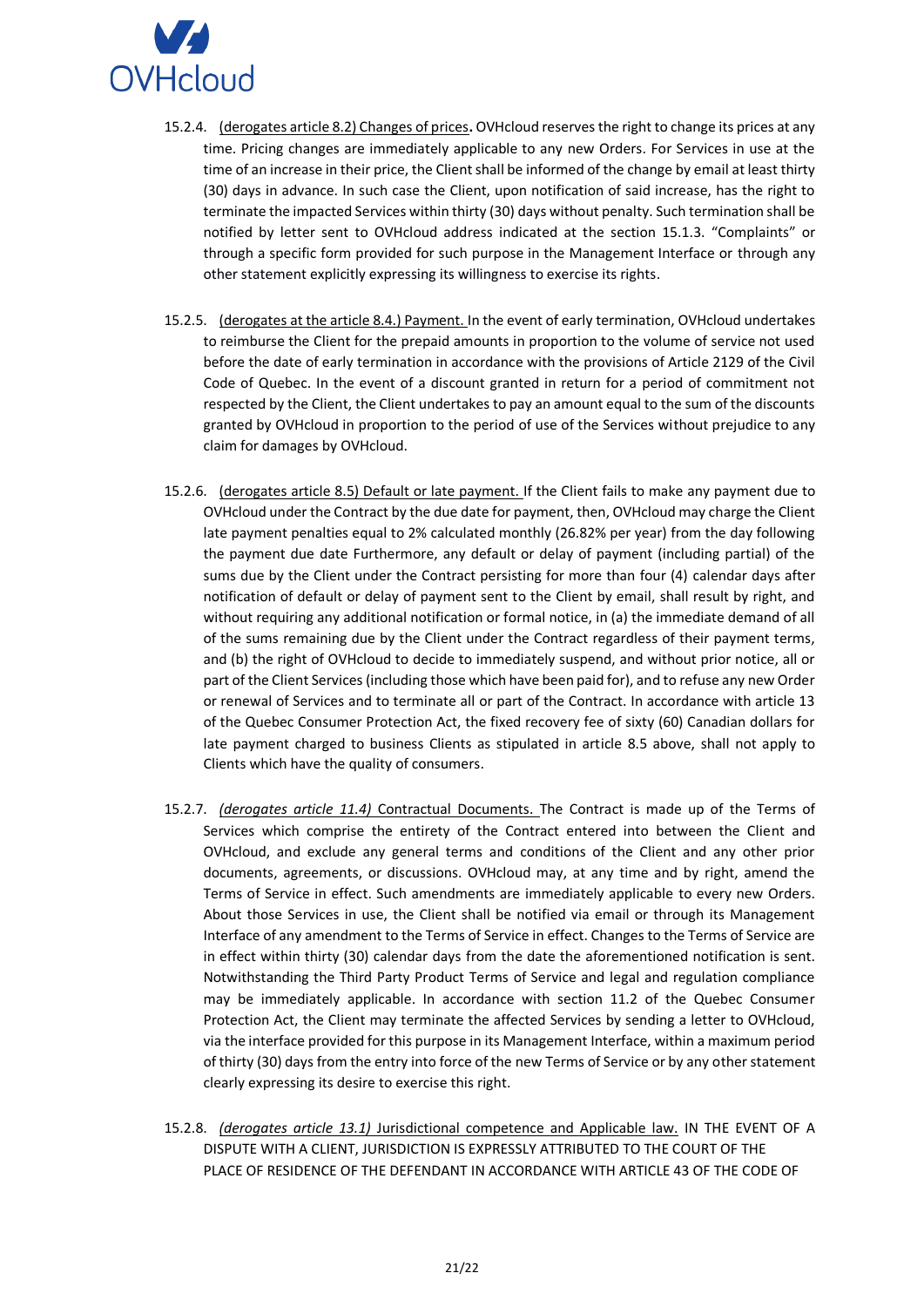

- 15.2.4. (derogates article 8.2) Changes of prices**.** OVHcloud reserves the right to change its prices at any time. Pricing changes are immediately applicable to any new Orders. For Services in use at the time of an increase in their price, the Client shall be informed of the change by email at least thirty (30) days in advance. In such case the Client, upon notification of said increase, has the right to terminate the impacted Services within thirty (30) days without penalty. Such termination shall be notified by letter sent to OVHcloud address indicated at the section 15.1.3. "Complaints" or through a specific form provided for such purpose in the Management Interface or through any other statement explicitly expressing its willingness to exercise its rights.
- 15.2.5. (derogates at the article 8.4.) Payment. In the event of early termination, OVHcloud undertakes to reimburse the Client for the prepaid amounts in proportion to the volume of service not used before the date of early termination in accordance with the provisions of Article 2129 of the Civil Code of Quebec. In the event of a discount granted in return for a period of commitment not respected by the Client, the Client undertakes to pay an amount equal to the sum of the discounts granted by OVHcloud in proportion to the period of use of the Services without prejudice to any claim for damages by OVHcloud.
- 15.2.6. (derogates article 8.5) Default or late payment. If the Client fails to make any payment due to OVHcloud under the Contract by the due date for payment, then, OVHcloud may charge the Client late payment penalties equal to 2% calculated monthly (26.82% per year) from the day following the payment due date Furthermore, any default or delay of payment (including partial) of the sums due by the Client under the Contract persisting for more than four (4) calendar days after notification of default or delay of payment sent to the Client by email, shall result by right, and without requiring any additional notification or formal notice, in (a) the immediate demand of all of the sums remaining due by the Client under the Contract regardless of their payment terms, and (b) the right of OVHcloud to decide to immediately suspend, and without prior notice, all or part of the Client Services (including those which have been paid for), and to refuse any new Order or renewal of Services and to terminate all or part of the Contract. In accordance with article 13 of the Quebec Consumer Protection Act, the fixed recovery fee of sixty (60) Canadian dollars for late payment charged to business Clients as stipulated in article 8.5 above, shall not apply to Clients which have the quality of consumers.
- 15.2.7. *(derogates article 11.4)* Contractual Documents. The Contract is made up of the Terms of Services which comprise the entirety of the Contract entered into between the Client and OVHcloud, and exclude any general terms and conditions of the Client and any other prior documents, agreements, or discussions. OVHcloud may, at any time and by right, amend the Terms of Service in effect. Such amendments are immediately applicable to every new Orders. About those Services in use, the Client shall be notified via email or through its Management Interface of any amendment to the Terms of Service in effect. Changes to the Terms of Service are in effect within thirty (30) calendar days from the date the aforementioned notification is sent. Notwithstanding the Third Party Product Terms of Service and legal and regulation compliance may be immediately applicable. In accordance with section 11.2 of the Quebec Consumer Protection Act, the Client may terminate the affected Services by sending a letter to OVHcloud, via the interface provided for this purpose in its Management Interface, within a maximum period of thirty (30) days from the entry into force of the new Terms of Service or by any other statement clearly expressing its desire to exercise this right.
- 15.2.8. *(derogates article 13.1)* Jurisdictional competence and Applicable law. IN THE EVENT OF A DISPUTE WITH A CLIENT, JURISDICTION IS EXPRESSLY ATTRIBUTED TO THE COURT OF THE PLACE OF RESIDENCE OF THE DEFENDANT IN ACCORDANCE WITH ARTICLE 43 OF THE CODE OF